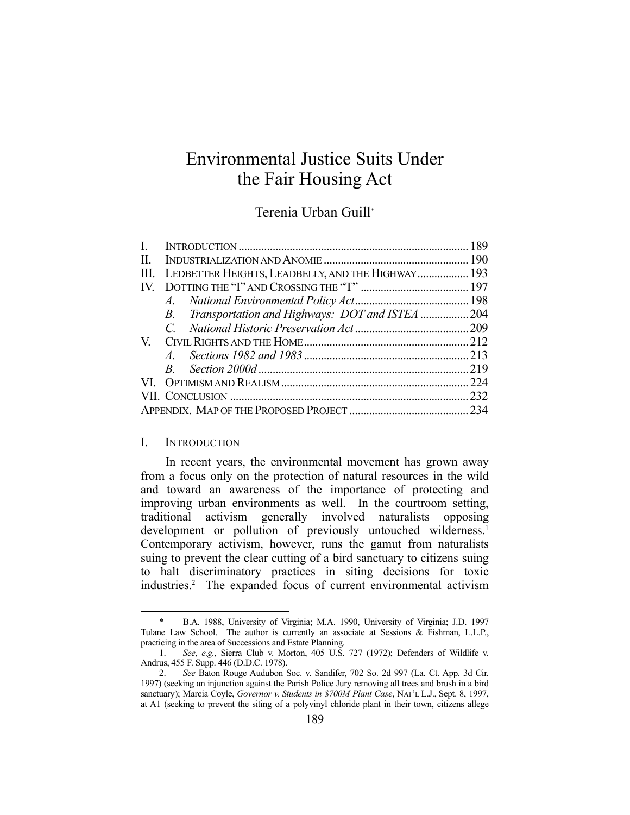# Environmental Justice Suits Under the Fair Housing Act

Terenia Urban Guill\*

| $\mathbf{L}$ |                                                        |  |
|--------------|--------------------------------------------------------|--|
| II.          |                                                        |  |
|              | III. LEDBETTER HEIGHTS, LEADBELLY, AND THE HIGHWAY 193 |  |
| IV.          |                                                        |  |
|              |                                                        |  |
|              | B. Transportation and Highways: DOT and ISTEA 204      |  |
|              |                                                        |  |
|              |                                                        |  |
|              |                                                        |  |
|              | R                                                      |  |
|              |                                                        |  |
|              |                                                        |  |
|              |                                                        |  |

## I. INTRODUCTION

1

 In recent years, the environmental movement has grown away from a focus only on the protection of natural resources in the wild and toward an awareness of the importance of protecting and improving urban environments as well. In the courtroom setting, traditional activism generally involved naturalists opposing development or pollution of previously untouched wilderness.<sup>1</sup> Contemporary activism, however, runs the gamut from naturalists suing to prevent the clear cutting of a bird sanctuary to citizens suing to halt discriminatory practices in siting decisions for toxic industries.2 The expanded focus of current environmental activism

 <sup>\*</sup> B.A. 1988, University of Virginia; M.A. 1990, University of Virginia; J.D. 1997 Tulane Law School. The author is currently an associate at Sessions & Fishman, L.L.P., practicing in the area of Successions and Estate Planning.

 <sup>1.</sup> *See*, *e.g.*, Sierra Club v. Morton, 405 U.S. 727 (1972); Defenders of Wildlife v. Andrus, 455 F. Supp. 446 (D.D.C. 1978).

 <sup>2.</sup> *See* Baton Rouge Audubon Soc. v. Sandifer, 702 So. 2d 997 (La. Ct. App. 3d Cir. 1997) (seeking an injunction against the Parish Police Jury removing all trees and brush in a bird sanctuary); Marcia Coyle, *Governor v. Students in \$700M Plant Case*, NAT'L L.J., Sept. 8, 1997, at A1 (seeking to prevent the siting of a polyvinyl chloride plant in their town, citizens allege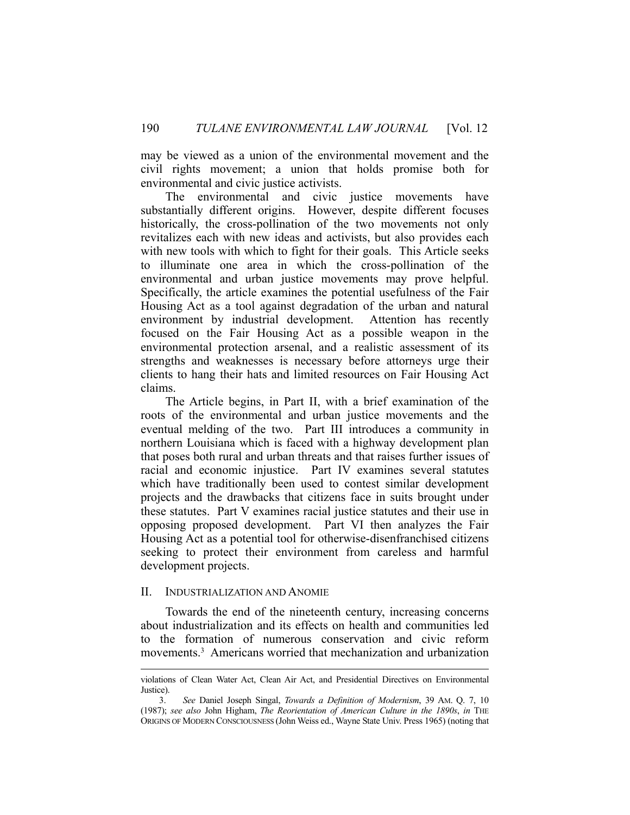may be viewed as a union of the environmental movement and the civil rights movement; a union that holds promise both for environmental and civic justice activists.

 The environmental and civic justice movements have substantially different origins. However, despite different focuses historically, the cross-pollination of the two movements not only revitalizes each with new ideas and activists, but also provides each with new tools with which to fight for their goals. This Article seeks to illuminate one area in which the cross-pollination of the environmental and urban justice movements may prove helpful. Specifically, the article examines the potential usefulness of the Fair Housing Act as a tool against degradation of the urban and natural environment by industrial development. Attention has recently focused on the Fair Housing Act as a possible weapon in the environmental protection arsenal, and a realistic assessment of its strengths and weaknesses is necessary before attorneys urge their clients to hang their hats and limited resources on Fair Housing Act claims.

 The Article begins, in Part II, with a brief examination of the roots of the environmental and urban justice movements and the eventual melding of the two. Part III introduces a community in northern Louisiana which is faced with a highway development plan that poses both rural and urban threats and that raises further issues of racial and economic injustice. Part IV examines several statutes which have traditionally been used to contest similar development projects and the drawbacks that citizens face in suits brought under these statutes. Part V examines racial justice statutes and their use in opposing proposed development. Part VI then analyzes the Fair Housing Act as a potential tool for otherwise-disenfranchised citizens seeking to protect their environment from careless and harmful development projects.

## II. INDUSTRIALIZATION AND ANOMIE

 Towards the end of the nineteenth century, increasing concerns about industrialization and its effects on health and communities led to the formation of numerous conservation and civic reform movements.3 Americans worried that mechanization and urbanization

violations of Clean Water Act, Clean Air Act, and Presidential Directives on Environmental Justice).

 <sup>3.</sup> *See* Daniel Joseph Singal, *Towards a Definition of Modernism*, 39 AM. Q. 7, 10 (1987); *see also* John Higham, *The Reorientation of American Culture in the 1890s*, *in* THE ORIGINS OF MODERN CONSCIOUSNESS (John Weiss ed., Wayne State Univ. Press 1965) (noting that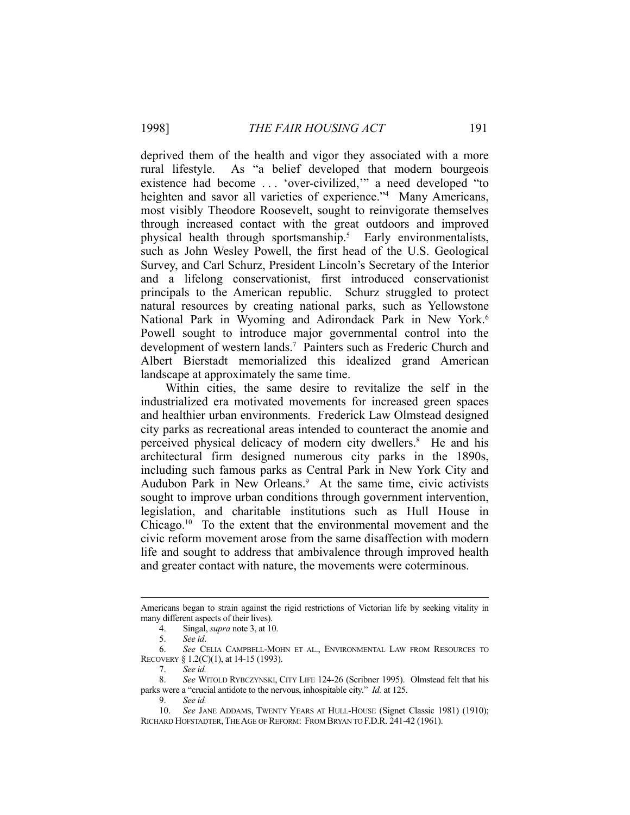deprived them of the health and vigor they associated with a more rural lifestyle. As "a belief developed that modern bourgeois existence had become . . . 'over-civilized,'" a need developed "to heighten and savor all varieties of experience."<sup>4</sup> Many Americans, most visibly Theodore Roosevelt, sought to reinvigorate themselves through increased contact with the great outdoors and improved physical health through sportsmanship.<sup>5</sup> Early environmentalists, such as John Wesley Powell, the first head of the U.S. Geological Survey, and Carl Schurz, President Lincoln's Secretary of the Interior and a lifelong conservationist, first introduced conservationist principals to the American republic. Schurz struggled to protect natural resources by creating national parks, such as Yellowstone National Park in Wyoming and Adirondack Park in New York.<sup>6</sup> Powell sought to introduce major governmental control into the development of western lands.<sup>7</sup> Painters such as Frederic Church and Albert Bierstadt memorialized this idealized grand American landscape at approximately the same time.

 Within cities, the same desire to revitalize the self in the industrialized era motivated movements for increased green spaces and healthier urban environments. Frederick Law Olmstead designed city parks as recreational areas intended to counteract the anomie and perceived physical delicacy of modern city dwellers.<sup>8</sup> He and his architectural firm designed numerous city parks in the 1890s, including such famous parks as Central Park in New York City and Audubon Park in New Orleans.<sup>9</sup> At the same time, civic activists sought to improve urban conditions through government intervention, legislation, and charitable institutions such as Hull House in Chicago.10 To the extent that the environmental movement and the civic reform movement arose from the same disaffection with modern life and sought to address that ambivalence through improved health and greater contact with nature, the movements were coterminous.

Americans began to strain against the rigid restrictions of Victorian life by seeking vitality in many different aspects of their lives).

 <sup>4.</sup> Singal, *supra* note 3, at 10.

 <sup>5.</sup> *See id*.

 <sup>6.</sup> *See* CELIA CAMPBELL-MOHN ET AL., ENVIRONMENTAL LAW FROM RESOURCES TO RECOVERY § 1.2(C)(1), at 14-15 (1993).

 <sup>7.</sup> *See id.*

 <sup>8.</sup> *See* WITOLD RYBCZYNSKI, CITY LIFE 124-26 (Scribner 1995). Olmstead felt that his parks were a "crucial antidote to the nervous, inhospitable city." *Id.* at 125.

 <sup>9.</sup> *See id.*

 <sup>10.</sup> *See* JANE ADDAMS, TWENTY YEARS AT HULL-HOUSE (Signet Classic 1981) (1910); RICHARD HOFSTADTER, THE AGE OF REFORM: FROM BRYAN TO F.D.R. 241-42 (1961).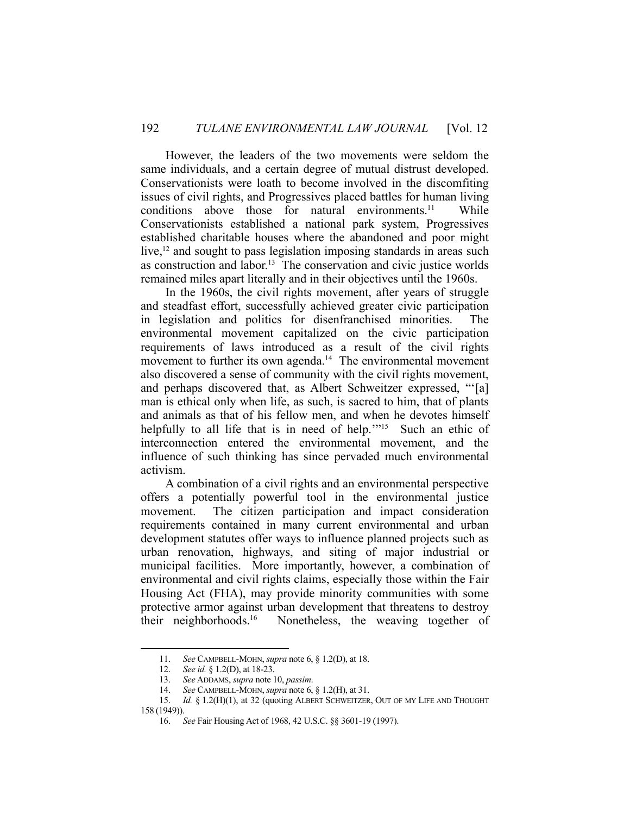However, the leaders of the two movements were seldom the same individuals, and a certain degree of mutual distrust developed. Conservationists were loath to become involved in the discomfiting issues of civil rights, and Progressives placed battles for human living conditions above those for natural environments.<sup>11</sup> While Conservationists established a national park system, Progressives established charitable houses where the abandoned and poor might live, $12$  and sought to pass legislation imposing standards in areas such as construction and labor.<sup>13</sup> The conservation and civic justice worlds remained miles apart literally and in their objectives until the 1960s.

 In the 1960s, the civil rights movement, after years of struggle and steadfast effort, successfully achieved greater civic participation in legislation and politics for disenfranchised minorities. The environmental movement capitalized on the civic participation requirements of laws introduced as a result of the civil rights movement to further its own agenda.<sup>14</sup> The environmental movement also discovered a sense of community with the civil rights movement, and perhaps discovered that, as Albert Schweitzer expressed, "'[a] man is ethical only when life, as such, is sacred to him, that of plants and animals as that of his fellow men, and when he devotes himself helpfully to all life that is in need of help."<sup>15</sup> Such an ethic of interconnection entered the environmental movement, and the influence of such thinking has since pervaded much environmental activism.

 A combination of a civil rights and an environmental perspective offers a potentially powerful tool in the environmental justice movement. The citizen participation and impact consideration requirements contained in many current environmental and urban development statutes offer ways to influence planned projects such as urban renovation, highways, and siting of major industrial or municipal facilities. More importantly, however, a combination of environmental and civil rights claims, especially those within the Fair Housing Act (FHA), may provide minority communities with some protective armor against urban development that threatens to destroy their neighborhoods.16 Nonetheless, the weaving together of

 <sup>11.</sup> *See* CAMPBELL-MOHN, *supra* note 6, § 1.2(D), at 18.

 <sup>12.</sup> *See id.* § 1.2(D), at 18-23.

 <sup>13.</sup> *See* ADDAMS, *supra* note 10, *passim*.

 <sup>14.</sup> *See* CAMPBELL-MOHN, *supra* note 6, § 1.2(H), at 31.

<sup>14.</sup> *Id.* § 1.2(H)(1), at 32 (quoting ALBERT SCHWEITZER, OUT OF MY LIFE AND THOUGHT 158 (1949)).

 <sup>16.</sup> *See* Fair Housing Act of 1968, 42 U.S.C. §§ 3601-19 (1997).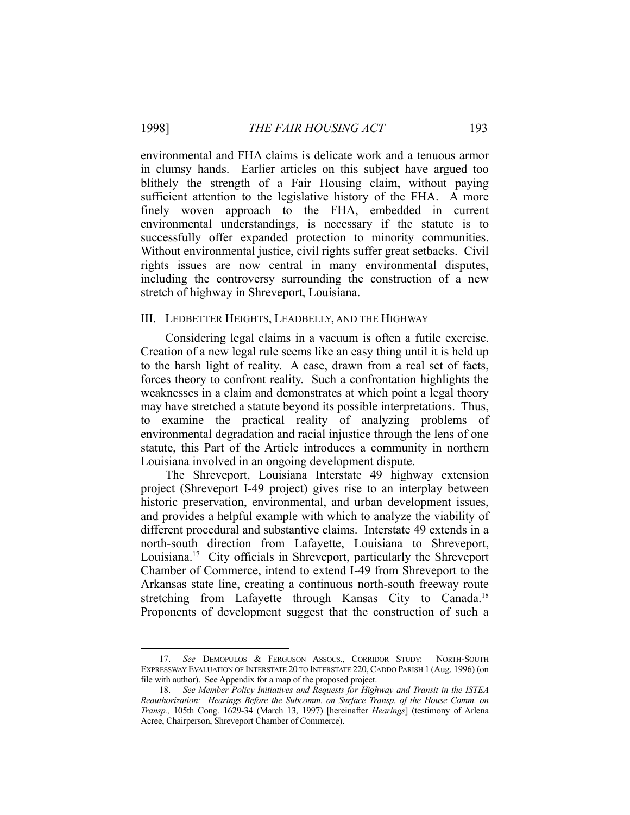environmental and FHA claims is delicate work and a tenuous armor in clumsy hands. Earlier articles on this subject have argued too blithely the strength of a Fair Housing claim, without paying sufficient attention to the legislative history of the FHA. A more finely woven approach to the FHA, embedded in current environmental understandings, is necessary if the statute is to successfully offer expanded protection to minority communities. Without environmental justice, civil rights suffer great setbacks. Civil rights issues are now central in many environmental disputes, including the controversy surrounding the construction of a new stretch of highway in Shreveport, Louisiana.

#### III. LEDBETTER HEIGHTS, LEADBELLY, AND THE HIGHWAY

Considering legal claims in a vacuum is often a futile exercise. Creation of a new legal rule seems like an easy thing until it is held up to the harsh light of reality. A case, drawn from a real set of facts, forces theory to confront reality. Such a confrontation highlights the weaknesses in a claim and demonstrates at which point a legal theory may have stretched a statute beyond its possible interpretations. Thus, to examine the practical reality of analyzing problems of environmental degradation and racial injustice through the lens of one statute, this Part of the Article introduces a community in northern Louisiana involved in an ongoing development dispute.

 The Shreveport, Louisiana Interstate 49 highway extension project (Shreveport I-49 project) gives rise to an interplay between historic preservation, environmental, and urban development issues, and provides a helpful example with which to analyze the viability of different procedural and substantive claims. Interstate 49 extends in a north-south direction from Lafayette, Louisiana to Shreveport, Louisiana.<sup>17</sup> City officials in Shreveport, particularly the Shreveport Chamber of Commerce, intend to extend I-49 from Shreveport to the Arkansas state line, creating a continuous north-south freeway route stretching from Lafayette through Kansas City to Canada.<sup>18</sup> Proponents of development suggest that the construction of such a

 <sup>17.</sup> *See* DEMOPULOS & FERGUSON ASSOCS., CORRIDOR STUDY: NORTH-SOUTH EXPRESSWAY EVALUATION OF INTERSTATE 20 TO INTERSTATE 220, CADDO PARISH 1 (Aug. 1996) (on file with author). See Appendix for a map of the proposed project.

 <sup>18.</sup> *See Member Policy Initiatives and Requests for Highway and Transit in the ISTEA Reauthorization: Hearings Before the Subcomm. on Surface Transp. of the House Comm. on Transp.,* 105th Cong. 1629-34 (March 13, 1997) [hereinafter *Hearings*] (testimony of Arlena Acree, Chairperson, Shreveport Chamber of Commerce).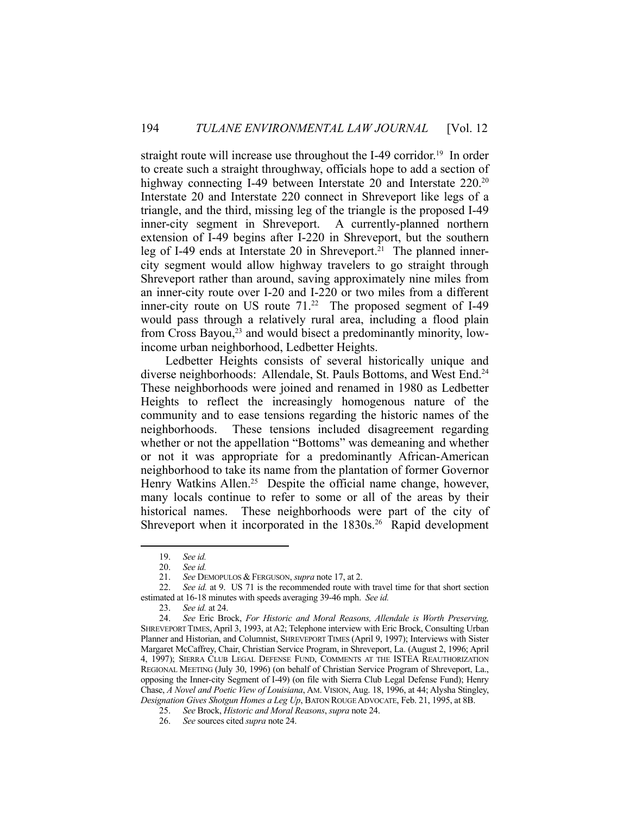straight route will increase use throughout the I-49 corridor.<sup>19</sup> In order to create such a straight throughway, officials hope to add a section of highway connecting I-49 between Interstate 20 and Interstate 220.<sup>20</sup> Interstate 20 and Interstate 220 connect in Shreveport like legs of a triangle, and the third, missing leg of the triangle is the proposed I-49 inner-city segment in Shreveport. A currently-planned northern extension of I-49 begins after I-220 in Shreveport, but the southern leg of I-49 ends at Interstate 20 in Shreveport.<sup>21</sup> The planned innercity segment would allow highway travelers to go straight through Shreveport rather than around, saving approximately nine miles from an inner-city route over I-20 and I-220 or two miles from a different inner-city route on US route  $71<sup>22</sup>$  The proposed segment of I-49 would pass through a relatively rural area, including a flood plain from Cross Bayou,<sup>23</sup> and would bisect a predominantly minority, lowincome urban neighborhood, Ledbetter Heights.

 Ledbetter Heights consists of several historically unique and diverse neighborhoods: Allendale, St. Pauls Bottoms, and West End.<sup>24</sup> These neighborhoods were joined and renamed in 1980 as Ledbetter Heights to reflect the increasingly homogenous nature of the community and to ease tensions regarding the historic names of the neighborhoods. These tensions included disagreement regarding whether or not the appellation "Bottoms" was demeaning and whether or not it was appropriate for a predominantly African-American neighborhood to take its name from the plantation of former Governor Henry Watkins Allen.<sup>25</sup> Despite the official name change, however, many locals continue to refer to some or all of the areas by their historical names. These neighborhoods were part of the city of Shreveport when it incorporated in the 1830s.<sup>26</sup> Rapid development

 <sup>19.</sup> *See id.*

 <sup>20.</sup> *See id.*

 <sup>21.</sup> *See* DEMOPULOS & FERGUSON, *supra* note 17, at 2.

See id. at 9. US 71 is the recommended route with travel time for that short section estimated at 16-18 minutes with speeds averaging 39-46 mph. *See id.*

 <sup>23.</sup> *See id.* at 24.

 <sup>24.</sup> *See* Eric Brock, *For Historic and Moral Reasons, Allendale is Worth Preserving,* SHREVEPORT TIMES, April 3, 1993, at A2; Telephone interview with Eric Brock, Consulting Urban Planner and Historian, and Columnist, SHREVEPORT TIMES (April 9, 1997); Interviews with Sister Margaret McCaffrey, Chair, Christian Service Program, in Shreveport, La. (August 2, 1996; April 4, 1997); SIERRA CLUB LEGAL DEFENSE FUND, COMMENTS AT THE ISTEA REAUTHORIZATION REGIONAL MEETING (July 30, 1996) (on behalf of Christian Service Program of Shreveport, La., opposing the Inner-city Segment of I-49) (on file with Sierra Club Legal Defense Fund); Henry Chase, *A Novel and Poetic View of Louisiana*, AM. VISION, Aug. 18, 1996, at 44; Alysha Stingley, *Designation Gives Shotgun Homes a Leg Up*, BATON ROUGE ADVOCATE, Feb. 21, 1995, at 8B.

 <sup>25.</sup> *See* Brock, *Historic and Moral Reasons*, *supra* note 24.

 <sup>26.</sup> *See* sources cited *supra* note 24.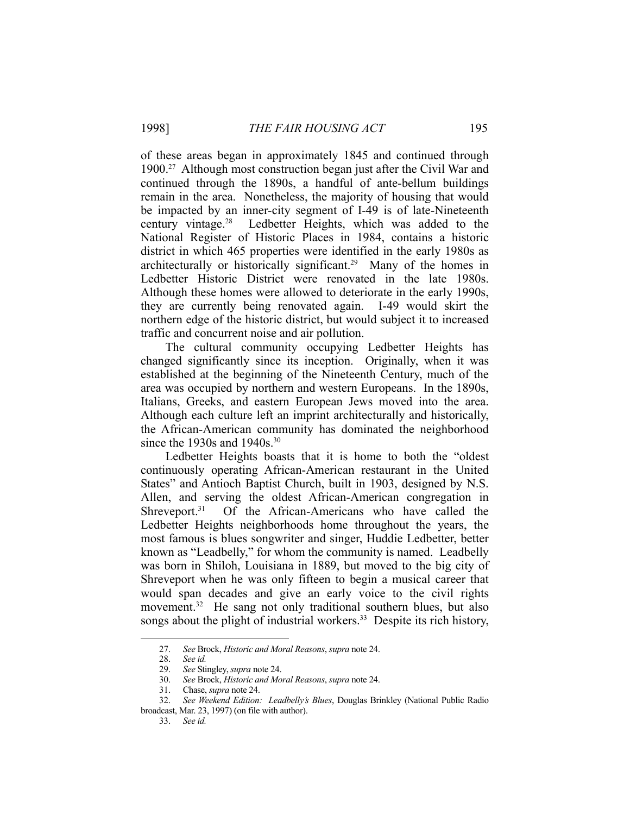of these areas began in approximately 1845 and continued through 1900.27 Although most construction began just after the Civil War and continued through the 1890s, a handful of ante-bellum buildings remain in the area. Nonetheless, the majority of housing that would be impacted by an inner-city segment of I-49 is of late-Nineteenth century vintage.28 Ledbetter Heights, which was added to the National Register of Historic Places in 1984, contains a historic district in which 465 properties were identified in the early 1980s as architecturally or historically significant.<sup>29</sup> Many of the homes in Ledbetter Historic District were renovated in the late 1980s. Although these homes were allowed to deteriorate in the early 1990s, they are currently being renovated again. I-49 would skirt the northern edge of the historic district, but would subject it to increased traffic and concurrent noise and air pollution.

 The cultural community occupying Ledbetter Heights has changed significantly since its inception. Originally, when it was established at the beginning of the Nineteenth Century, much of the area was occupied by northern and western Europeans. In the 1890s, Italians, Greeks, and eastern European Jews moved into the area. Although each culture left an imprint architecturally and historically, the African-American community has dominated the neighborhood since the 1930s and 1940s.<sup>30</sup>

 Ledbetter Heights boasts that it is home to both the "oldest continuously operating African-American restaurant in the United States" and Antioch Baptist Church, built in 1903, designed by N.S. Allen, and serving the oldest African-American congregation in Shreveport.<sup>31</sup> Of the African-Americans who have called the Ledbetter Heights neighborhoods home throughout the years, the most famous is blues songwriter and singer, Huddie Ledbetter, better known as "Leadbelly," for whom the community is named. Leadbelly was born in Shiloh, Louisiana in 1889, but moved to the big city of Shreveport when he was only fifteen to begin a musical career that would span decades and give an early voice to the civil rights movement.<sup>32</sup> He sang not only traditional southern blues, but also songs about the plight of industrial workers.<sup>33</sup> Despite its rich history,

 <sup>27.</sup> *See* Brock, *Historic and Moral Reasons*, *supra* note 24.

 <sup>28.</sup> *See id.*

 <sup>29.</sup> *See* Stingley, *supra* note 24.

 <sup>30.</sup> *See* Brock, *Historic and Moral Reasons*, *supra* note 24.

 <sup>31.</sup> Chase, *supra* note 24.

 <sup>32.</sup> *See Weekend Edition: Leadbelly's Blues*, Douglas Brinkley (National Public Radio broadcast, Mar. 23, 1997) (on file with author).

 <sup>33.</sup> *See id.*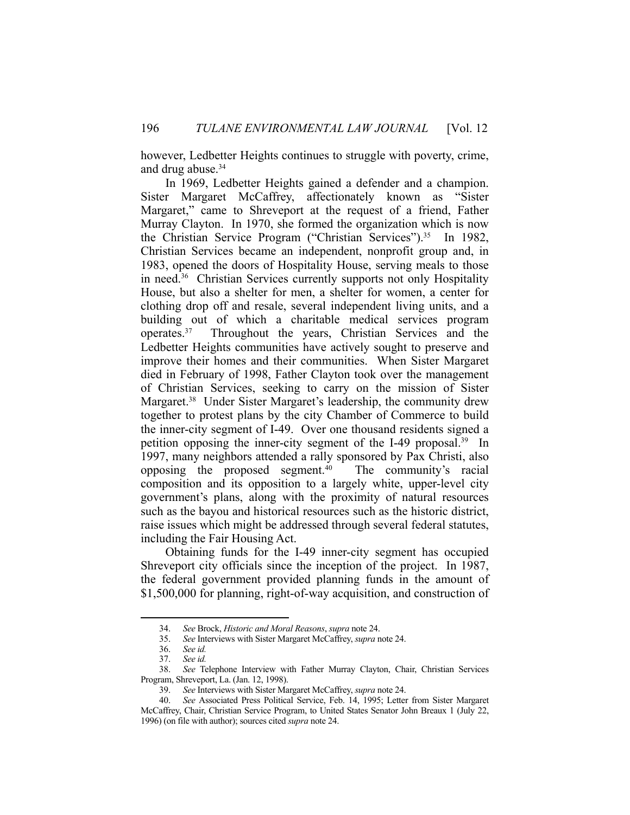however, Ledbetter Heights continues to struggle with poverty, crime, and drug abuse.<sup>34</sup>

 In 1969, Ledbetter Heights gained a defender and a champion. Sister Margaret McCaffrey, affectionately known as "Sister Margaret," came to Shreveport at the request of a friend, Father Murray Clayton. In 1970, she formed the organization which is now the Christian Service Program ("Christian Services").35 In 1982, Christian Services became an independent, nonprofit group and, in 1983, opened the doors of Hospitality House, serving meals to those in need.36 Christian Services currently supports not only Hospitality House, but also a shelter for men, a shelter for women, a center for clothing drop off and resale, several independent living units, and a building out of which a charitable medical services program operates.37 Throughout the years, Christian Services and the Ledbetter Heights communities have actively sought to preserve and improve their homes and their communities. When Sister Margaret died in February of 1998, Father Clayton took over the management of Christian Services, seeking to carry on the mission of Sister Margaret.<sup>38</sup> Under Sister Margaret's leadership, the community drew together to protest plans by the city Chamber of Commerce to build the inner-city segment of I-49. Over one thousand residents signed a petition opposing the inner-city segment of the I-49 proposal.<sup>39</sup> In 1997, many neighbors attended a rally sponsored by Pax Christi, also opposing the proposed segment.40 The community's racial composition and its opposition to a largely white, upper-level city government's plans, along with the proximity of natural resources such as the bayou and historical resources such as the historic district, raise issues which might be addressed through several federal statutes, including the Fair Housing Act.

 Obtaining funds for the I-49 inner-city segment has occupied Shreveport city officials since the inception of the project. In 1987, the federal government provided planning funds in the amount of \$1,500,000 for planning, right-of-way acquisition, and construction of

 <sup>34.</sup> *See* Brock, *Historic and Moral Reasons*, *supra* note 24.

 <sup>35.</sup> *See* Interviews with Sister Margaret McCaffrey, *supra* note 24.

 <sup>36.</sup> *See id.*

 <sup>37.</sup> *See id.*

 <sup>38.</sup> *See* Telephone Interview with Father Murray Clayton, Chair, Christian Services Program, Shreveport, La. (Jan. 12, 1998).

 <sup>39.</sup> *See* Interviews with Sister Margaret McCaffrey, *supra* note 24.

 <sup>40.</sup> *See* Associated Press Political Service, Feb. 14, 1995; Letter from Sister Margaret McCaffrey, Chair, Christian Service Program, to United States Senator John Breaux 1 (July 22, 1996) (on file with author); sources cited *supra* note 24.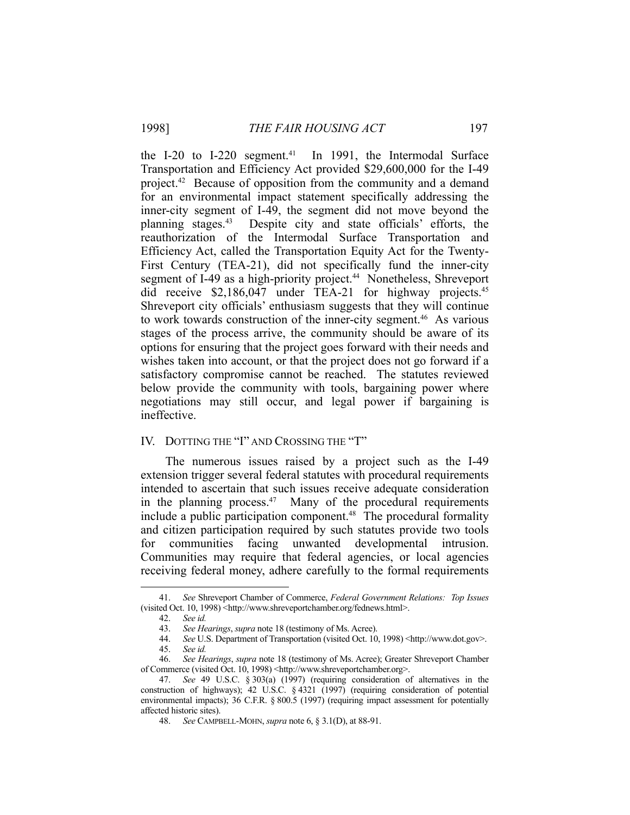the I-20 to I-220 segment.<sup>41</sup> In 1991, the Intermodal Surface Transportation and Efficiency Act provided \$29,600,000 for the I-49 project.42 Because of opposition from the community and a demand for an environmental impact statement specifically addressing the inner-city segment of I-49, the segment did not move beyond the planning stages.43 Despite city and state officials' efforts, the reauthorization of the Intermodal Surface Transportation and Efficiency Act, called the Transportation Equity Act for the Twenty-First Century (TEA-21), did not specifically fund the inner-city segment of I-49 as a high-priority project.<sup>44</sup> Nonetheless, Shreveport did receive \$2,186,047 under TEA-21 for highway projects.<sup>45</sup> Shreveport city officials' enthusiasm suggests that they will continue to work towards construction of the inner-city segment.<sup>46</sup> As various stages of the process arrive, the community should be aware of its options for ensuring that the project goes forward with their needs and wishes taken into account, or that the project does not go forward if a satisfactory compromise cannot be reached. The statutes reviewed below provide the community with tools, bargaining power where negotiations may still occur, and legal power if bargaining is ineffective.

## IV. DOTTING THE "I" AND CROSSING THE "T"

 The numerous issues raised by a project such as the I-49 extension trigger several federal statutes with procedural requirements intended to ascertain that such issues receive adequate consideration in the planning process. $47$  Many of the procedural requirements include a public participation component.48 The procedural formality and citizen participation required by such statutes provide two tools for communities facing unwanted developmental intrusion. Communities may require that federal agencies, or local agencies receiving federal money, adhere carefully to the formal requirements

 <sup>41.</sup> *See* Shreveport Chamber of Commerce, *Federal Government Relations: Top Issues*  (visited Oct. 10, 1998) <http://www.shreveportchamber.org/fednews.html>.

 <sup>42.</sup> *See id.*

 <sup>43.</sup> *See Hearings*, *supra* note 18 (testimony of Ms. Acree).

 <sup>44.</sup> *See* U.S. Department of Transportation (visited Oct. 10, 1998) <http://www.dot.gov>. 45. *See id.*

 <sup>46.</sup> *See Hearings*, *supra* note 18 (testimony of Ms. Acree); Greater Shreveport Chamber of Commerce (visited Oct. 10, 1998) <http://www.shreveportchamber.org>.

 <sup>47.</sup> *See* 49 U.S.C. § 303(a) (1997) (requiring consideration of alternatives in the construction of highways); 42 U.S.C. § 4321 (1997) (requiring consideration of potential environmental impacts); 36 C.F.R. § 800.5 (1997) (requiring impact assessment for potentially affected historic sites).

 <sup>48.</sup> *See* CAMPBELL-MOHN, *supra* note 6, § 3.1(D), at 88-91.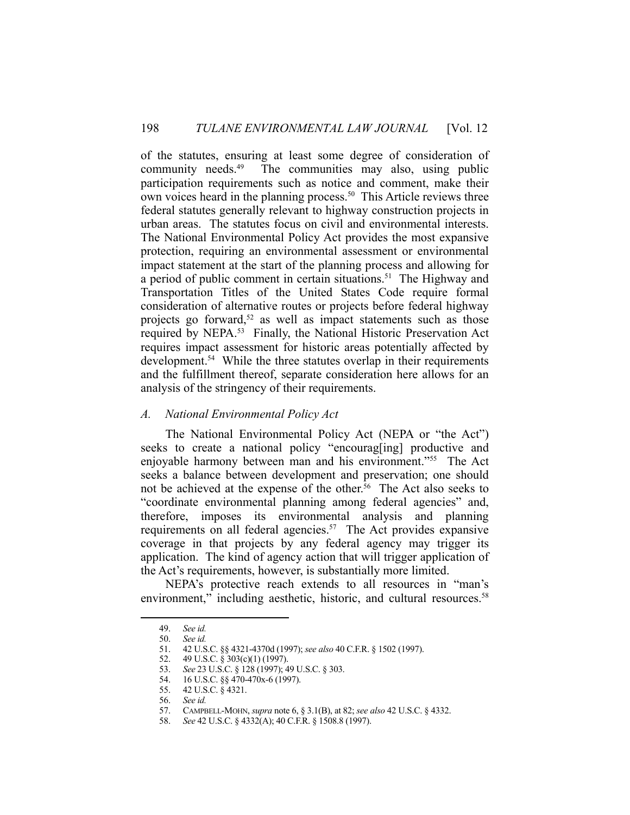of the statutes, ensuring at least some degree of consideration of community needs.49 The communities may also, using public participation requirements such as notice and comment, make their own voices heard in the planning process.<sup>50</sup> This Article reviews three federal statutes generally relevant to highway construction projects in urban areas. The statutes focus on civil and environmental interests. The National Environmental Policy Act provides the most expansive protection, requiring an environmental assessment or environmental impact statement at the start of the planning process and allowing for a period of public comment in certain situations.<sup>51</sup> The Highway and Transportation Titles of the United States Code require formal consideration of alternative routes or projects before federal highway projects go forward,<sup>52</sup> as well as impact statements such as those required by NEPA.53 Finally, the National Historic Preservation Act requires impact assessment for historic areas potentially affected by development.<sup>54</sup> While the three statutes overlap in their requirements and the fulfillment thereof, separate consideration here allows for an analysis of the stringency of their requirements.

## *A. National Environmental Policy Act*

 The National Environmental Policy Act (NEPA or "the Act") seeks to create a national policy "encourag[ing] productive and enjoyable harmony between man and his environment."55 The Act seeks a balance between development and preservation; one should not be achieved at the expense of the other.<sup>56</sup> The Act also seeks to "coordinate environmental planning among federal agencies" and, therefore, imposes its environmental analysis and planning requirements on all federal agencies.<sup>57</sup> The Act provides expansive coverage in that projects by any federal agency may trigger its application. The kind of agency action that will trigger application of the Act's requirements, however, is substantially more limited.

 NEPA's protective reach extends to all resources in "man's environment," including aesthetic, historic, and cultural resources.<sup>58</sup>

 <sup>49.</sup> *See id.*

 <sup>50.</sup> *See id.*

 <sup>51. 42</sup> U.S.C. §§ 4321-4370d (1997); *see also* 40 C.F.R. § 1502 (1997).

 <sup>52. 49</sup> U.S.C. § 303(c)(1) (1997).

 <sup>53.</sup> *See* 23 U.S.C. § 128 (1997); 49 U.S.C. § 303.

 <sup>54. 16</sup> U.S.C. §§ 470-470x-6 (1997).

 <sup>55. 42</sup> U.S.C. § 4321.

 <sup>56.</sup> *See id.*

 <sup>57.</sup> CAMPBELL-MOHN, *supra* note 6, § 3.1(B), at 82; *see also* 42 U.S.C. § 4332.

 <sup>58.</sup> *See* 42 U.S.C. § 4332(A); 40 C.F.R. § 1508.8 (1997).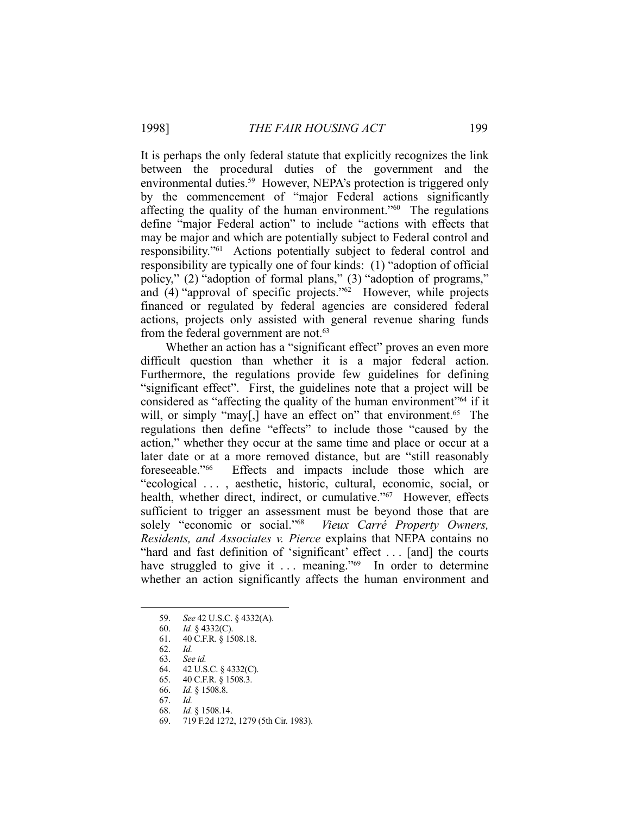It is perhaps the only federal statute that explicitly recognizes the link between the procedural duties of the government and the environmental duties.<sup>59</sup> However, NEPA's protection is triggered only by the commencement of "major Federal actions significantly affecting the quality of the human environment."60 The regulations define "major Federal action" to include "actions with effects that may be major and which are potentially subject to Federal control and responsibility."61 Actions potentially subject to federal control and responsibility are typically one of four kinds: (1) "adoption of official policy," (2) "adoption of formal plans," (3) "adoption of programs," and (4) "approval of specific projects."62 However, while projects financed or regulated by federal agencies are considered federal actions, projects only assisted with general revenue sharing funds from the federal government are not.<sup>63</sup>

 Whether an action has a "significant effect" proves an even more difficult question than whether it is a major federal action. Furthermore, the regulations provide few guidelines for defining "significant effect". First, the guidelines note that a project will be considered as "affecting the quality of the human environment"<sup>64</sup> if it will, or simply "may[,] have an effect on" that environment.<sup>65</sup> The regulations then define "effects" to include those "caused by the action," whether they occur at the same time and place or occur at a later date or at a more removed distance, but are "still reasonably foreseeable."66 Effects and impacts include those which are "ecological . . . , aesthetic, historic, cultural, economic, social, or health, whether direct, indirect, or cumulative."<sup>67</sup> However, effects sufficient to trigger an assessment must be beyond those that are solely "economic or social."68 *Vieux Carré Property Owners, Residents, and Associates v. Pierce* explains that NEPA contains no "hard and fast definition of 'significant' effect . . . [and] the courts have struggled to give it  $\ldots$  meaning."<sup>69</sup> In order to determine whether an action significantly affects the human environment and

- 66. *Id.* § 1508.8.
- 67. *Id.*

 <sup>59.</sup> *See* 42 U.S.C. § 4332(A).

 <sup>60.</sup> *Id.* § 4332(C).

 <sup>61. 40</sup> C.F.R. § 1508.18.

 <sup>62.</sup> *Id.*

 <sup>63.</sup> *See id.*

 <sup>64. 42</sup> U.S.C. § 4332(C).

 <sup>65. 40</sup> C.F.R. § 1508.3.

 <sup>68.</sup> *Id.* § 1508.14.

 <sup>69. 719</sup> F.2d 1272, 1279 (5th Cir. 1983).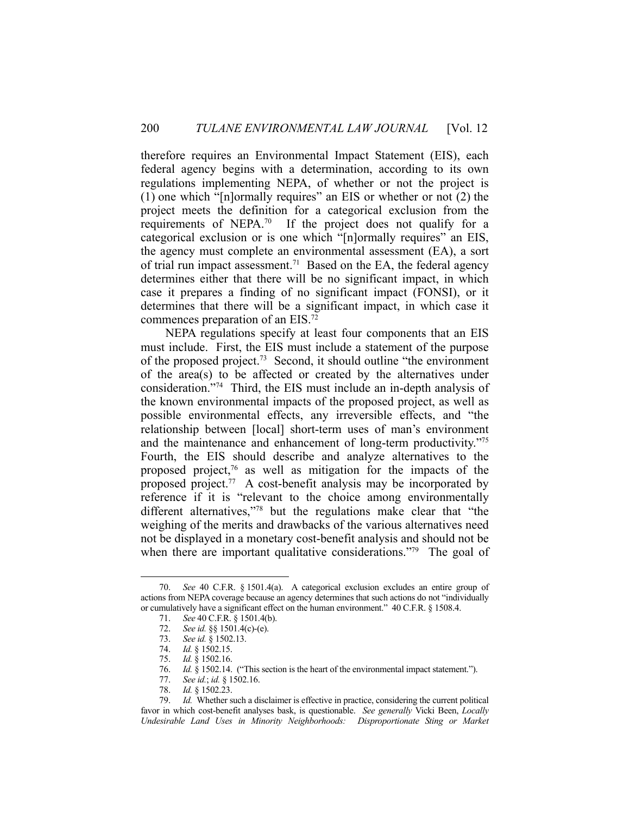therefore requires an Environmental Impact Statement (EIS), each federal agency begins with a determination, according to its own regulations implementing NEPA, of whether or not the project is (1) one which "[n]ormally requires" an EIS or whether or not (2) the project meets the definition for a categorical exclusion from the requirements of NEPA.<sup>70</sup> If the project does not qualify for a categorical exclusion or is one which "[n]ormally requires" an EIS, the agency must complete an environmental assessment (EA), a sort of trial run impact assessment.<sup>71</sup> Based on the EA, the federal agency determines either that there will be no significant impact, in which case it prepares a finding of no significant impact (FONSI), or it determines that there will be a significant impact, in which case it commences preparation of an EIS.72

 NEPA regulations specify at least four components that an EIS must include. First, the EIS must include a statement of the purpose of the proposed project.73 Second, it should outline "the environment of the area(s) to be affected or created by the alternatives under consideration."74 Third, the EIS must include an in-depth analysis of the known environmental impacts of the proposed project, as well as possible environmental effects, any irreversible effects, and "the relationship between [local] short-term uses of man's environment and the maintenance and enhancement of long-term productivity."75 Fourth, the EIS should describe and analyze alternatives to the proposed project,76 as well as mitigation for the impacts of the proposed project.<sup>77</sup> A cost-benefit analysis may be incorporated by reference if it is "relevant to the choice among environmentally different alternatives,"78 but the regulations make clear that "the weighing of the merits and drawbacks of the various alternatives need not be displayed in a monetary cost-benefit analysis and should not be when there are important qualitative considerations."<sup>79</sup> The goal of

1

78. *Id.* § 1502.23.

 <sup>70.</sup> *See* 40 C.F.R. § 1501.4(a). A categorical exclusion excludes an entire group of actions from NEPA coverage because an agency determines that such actions do not "individually or cumulatively have a significant effect on the human environment." 40 C.F.R. § 1508.4.

 <sup>71.</sup> *See* 40 C.F.R. § 1501.4(b).

 <sup>72.</sup> *See id.* §§ 1501.4(c)-(e).

 <sup>73.</sup> *See id.* § 1502.13.

 <sup>74.</sup> *Id.* § 1502.15.

 <sup>75.</sup> *Id.* § 1502.16.

 <sup>76.</sup> *Id.* § 1502.14. ("This section is the heart of the environmental impact statement.").

 <sup>77.</sup> *See id.*; *id.* § 1502.16.

 <sup>79.</sup> *Id.* Whether such a disclaimer is effective in practice, considering the current political favor in which cost-benefit analyses bask, is questionable. *See generally* Vicki Been, *Locally Undesirable Land Uses in Minority Neighborhoods: Disproportionate Sting or Market*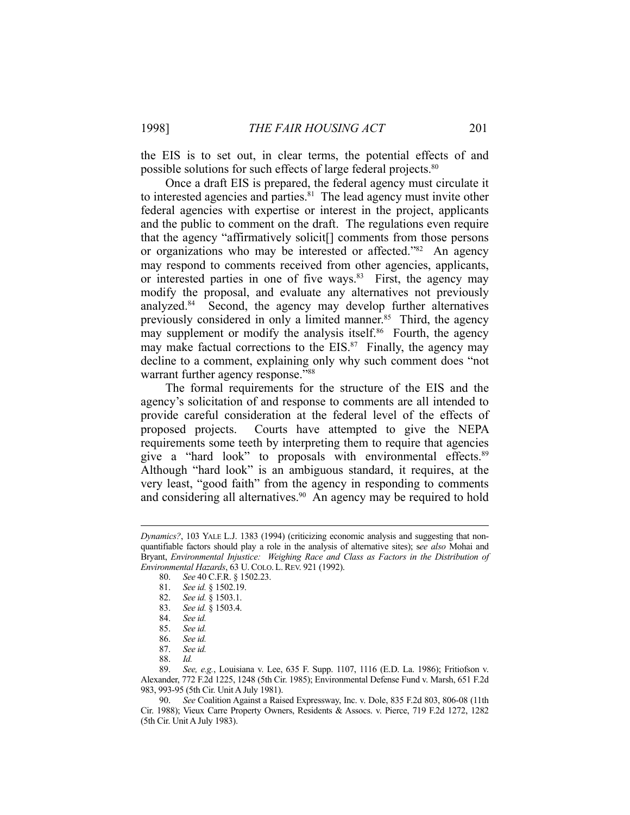the EIS is to set out, in clear terms, the potential effects of and possible solutions for such effects of large federal projects.<sup>80</sup>

 Once a draft EIS is prepared, the federal agency must circulate it to interested agencies and parties.<sup>81</sup> The lead agency must invite other federal agencies with expertise or interest in the project, applicants and the public to comment on the draft. The regulations even require that the agency "affirmatively solicit[] comments from those persons or organizations who may be interested or affected."<sup>82</sup> An agency may respond to comments received from other agencies, applicants, or interested parties in one of five ways.<sup>83</sup> First, the agency may modify the proposal, and evaluate any alternatives not previously analyzed.84 Second, the agency may develop further alternatives previously considered in only a limited manner.<sup>85</sup> Third, the agency may supplement or modify the analysis itself.<sup>86</sup> Fourth, the agency may make factual corrections to the  $EIS<sup>87</sup>$  Finally, the agency may decline to a comment, explaining only why such comment does "not warrant further agency response."<sup>88</sup>

 The formal requirements for the structure of the EIS and the agency's solicitation of and response to comments are all intended to provide careful consideration at the federal level of the effects of proposed projects. Courts have attempted to give the NEPA requirements some teeth by interpreting them to require that agencies give a "hard look" to proposals with environmental effects.<sup>89</sup> Although "hard look" is an ambiguous standard, it requires, at the very least, "good faith" from the agency in responding to comments and considering all alternatives. $90$  An agency may be required to hold

*Dynamics?*, 103 YALE L.J. 1383 (1994) (criticizing economic analysis and suggesting that nonquantifiable factors should play a role in the analysis of alternative sites); s*ee also* Mohai and Bryant, *Environmental Injustice: Weighing Race and Class as Factors in the Distribution of Environmental Hazards*, 63 U. COLO. L. REV. 921 (1992).

 <sup>80.</sup> *See* 40 C.F.R. § 1502.23.

 <sup>81.</sup> *See id.* § 1502.19.

 <sup>82.</sup> *See id.* § 1503.1.

 <sup>83.</sup> *See id.* § 1503.4.

 <sup>84.</sup> *See id.*

 <sup>85.</sup> *See id.*

 <sup>86.</sup> *See id.*

 <sup>87.</sup> *See id.*

 <sup>88.</sup> *Id.*

 <sup>89.</sup> *See, e.g.*, Louisiana v. Lee, 635 F. Supp. 1107, 1116 (E.D. La. 1986); Fritiofson v. Alexander, 772 F.2d 1225, 1248 (5th Cir. 1985); Environmental Defense Fund v. Marsh, 651 F.2d 983, 993-95 (5th Cir. Unit A July 1981).

 <sup>90.</sup> *See* Coalition Against a Raised Expressway, Inc. v. Dole, 835 F.2d 803, 806-08 (11th Cir. 1988); Vieux Carre Property Owners, Residents & Assocs. v. Pierce, 719 F.2d 1272, 1282 (5th Cir. Unit A July 1983).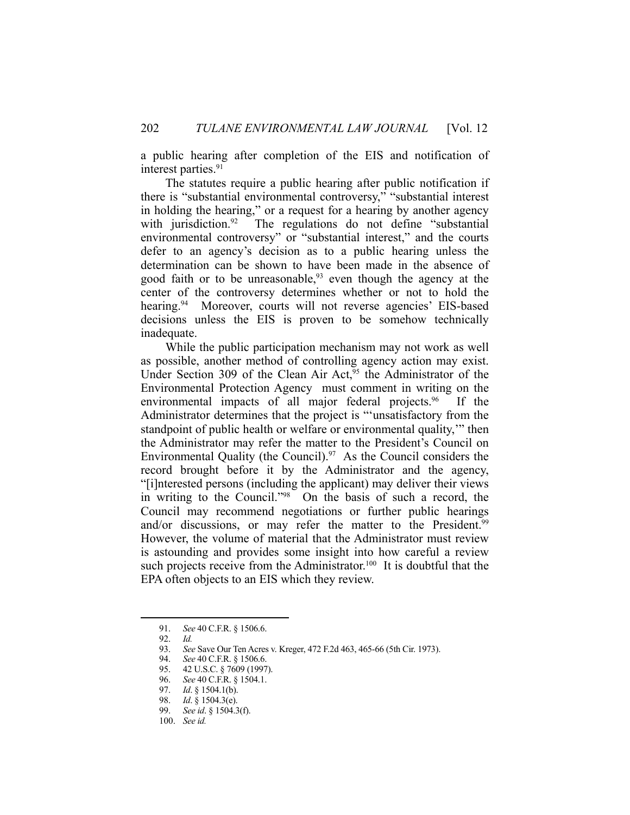a public hearing after completion of the EIS and notification of interest parties.<sup>91</sup>

 The statutes require a public hearing after public notification if there is "substantial environmental controversy," "substantial interest in holding the hearing," or a request for a hearing by another agency with jurisdiction.<sup>92</sup> The regulations do not define "substantial" environmental controversy" or "substantial interest," and the courts defer to an agency's decision as to a public hearing unless the determination can be shown to have been made in the absence of good faith or to be unreasonable,  $93$  even though the agency at the center of the controversy determines whether or not to hold the hearing.<sup>94</sup> Moreover, courts will not reverse agencies' EIS-based decisions unless the EIS is proven to be somehow technically inadequate.

 While the public participation mechanism may not work as well as possible, another method of controlling agency action may exist. Under Section 309 of the Clean Air Act,<sup>95</sup> the Administrator of the Environmental Protection Agency must comment in writing on the environmental impacts of all major federal projects.<sup>96</sup> If the Administrator determines that the project is "'unsatisfactory from the standpoint of public health or welfare or environmental quality,'" then the Administrator may refer the matter to the President's Council on Environmental Quality (the Council).<sup>97</sup> As the Council considers the record brought before it by the Administrator and the agency, "[i]nterested persons (including the applicant) may deliver their views in writing to the Council."<sup>98</sup> On the basis of such a record, the Council may recommend negotiations or further public hearings and/or discussions, or may refer the matter to the President.<sup>99</sup> However, the volume of material that the Administrator must review is astounding and provides some insight into how careful a review such projects receive from the Administrator.<sup>100</sup> It is doubtful that the EPA often objects to an EIS which they review.

 <sup>91.</sup> *See* 40 C.F.R. § 1506.6.

 <sup>92.</sup> *Id.*

 <sup>93.</sup> *See* Save Our Ten Acres v. Kreger, 472 F.2d 463, 465-66 (5th Cir. 1973).

 <sup>94.</sup> *See* 40 C.F.R. § 1506.6.

 <sup>95. 42</sup> U.S.C. § 7609 (1997).

 <sup>96.</sup> *See* 40 C.F.R. § 1504.1.

 <sup>97.</sup> *Id*. § 1504.1(b).

 <sup>98.</sup> *Id*. § 1504.3(e).

 <sup>99.</sup> *See id*. § 1504.3(f).

 <sup>100.</sup> *See id.*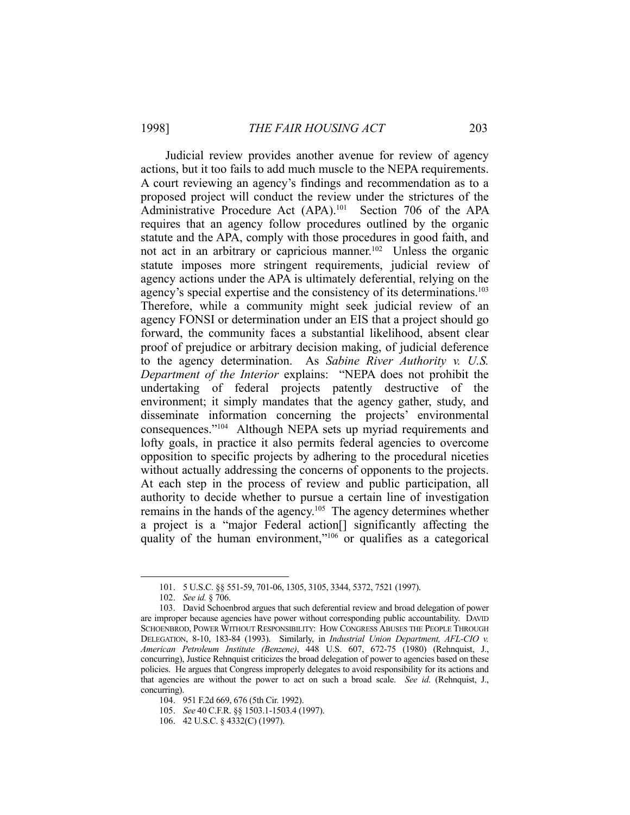Judicial review provides another avenue for review of agency actions, but it too fails to add much muscle to the NEPA requirements. A court reviewing an agency's findings and recommendation as to a proposed project will conduct the review under the strictures of the Administrative Procedure Act (APA).<sup>101</sup> Section 706 of the APA requires that an agency follow procedures outlined by the organic statute and the APA, comply with those procedures in good faith, and not act in an arbitrary or capricious manner.<sup>102</sup> Unless the organic statute imposes more stringent requirements, judicial review of agency actions under the APA is ultimately deferential, relying on the agency's special expertise and the consistency of its determinations.<sup>103</sup> Therefore, while a community might seek judicial review of an agency FONSI or determination under an EIS that a project should go forward, the community faces a substantial likelihood, absent clear proof of prejudice or arbitrary decision making, of judicial deference to the agency determination. As *Sabine River Authority v. U.S. Department of the Interior* explains: "NEPA does not prohibit the undertaking of federal projects patently destructive of the environment; it simply mandates that the agency gather, study, and disseminate information concerning the projects' environmental consequences."104 Although NEPA sets up myriad requirements and lofty goals, in practice it also permits federal agencies to overcome opposition to specific projects by adhering to the procedural niceties without actually addressing the concerns of opponents to the projects. At each step in the process of review and public participation, all authority to decide whether to pursue a certain line of investigation remains in the hands of the agency.105 The agency determines whether a project is a "major Federal action[] significantly affecting the quality of the human environment,"106 or qualifies as a categorical

 <sup>101. 5</sup> U.S.C. §§ 551-59, 701-06, 1305, 3105, 3344, 5372, 7521 (1997).

 <sup>102.</sup> *See id.* § 706.

 <sup>103.</sup> David Schoenbrod argues that such deferential review and broad delegation of power are improper because agencies have power without corresponding public accountability. DAVID SCHOENBROD, POWER WITHOUT RESPONSIBILITY: HOW CONGRESS ABUSES THE PEOPLE THROUGH DELEGATION, 8-10, 183-84 (1993). Similarly, in *Industrial Union Department, AFL-CIO v. American Petroleum Institute (Benzene)*, 448 U.S. 607, 672-75 (1980) (Rehnquist, J., concurring), Justice Rehnquist criticizes the broad delegation of power to agencies based on these policies. He argues that Congress improperly delegates to avoid responsibility for its actions and that agencies are without the power to act on such a broad scale. *See id*. (Rehnquist, J., concurring).

 <sup>104. 951</sup> F.2d 669, 676 (5th Cir. 1992).

 <sup>105.</sup> *See* 40 C.F.R. §§ 1503.1-1503.4 (1997).

 <sup>106. 42</sup> U.S.C. § 4332(C) (1997).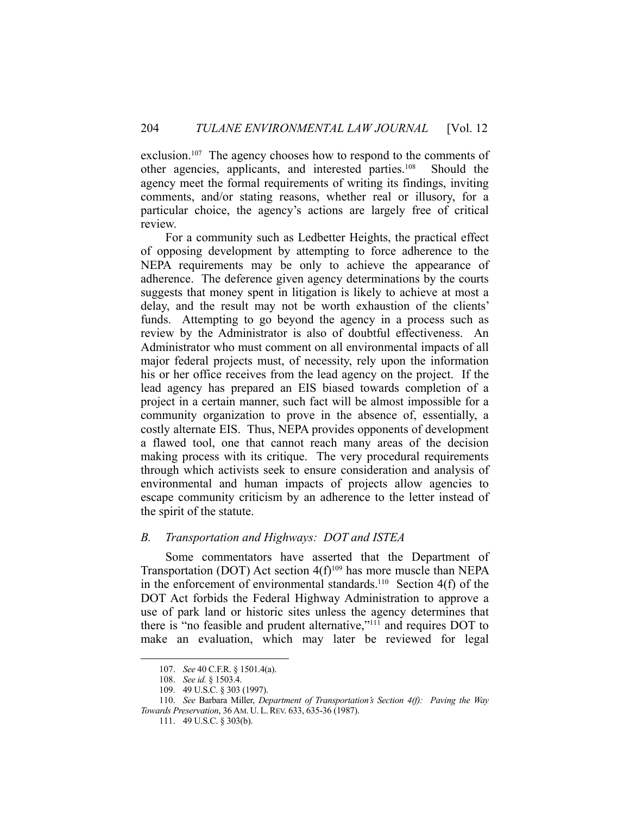exclusion.<sup>107</sup> The agency chooses how to respond to the comments of other agencies, applicants, and interested parties.108 Should the agency meet the formal requirements of writing its findings, inviting comments, and/or stating reasons, whether real or illusory, for a particular choice, the agency's actions are largely free of critical review.

 For a community such as Ledbetter Heights, the practical effect of opposing development by attempting to force adherence to the NEPA requirements may be only to achieve the appearance of adherence. The deference given agency determinations by the courts suggests that money spent in litigation is likely to achieve at most a delay, and the result may not be worth exhaustion of the clients' funds. Attempting to go beyond the agency in a process such as review by the Administrator is also of doubtful effectiveness. An Administrator who must comment on all environmental impacts of all major federal projects must, of necessity, rely upon the information his or her office receives from the lead agency on the project. If the lead agency has prepared an EIS biased towards completion of a project in a certain manner, such fact will be almost impossible for a community organization to prove in the absence of, essentially, a costly alternate EIS. Thus, NEPA provides opponents of development a flawed tool, one that cannot reach many areas of the decision making process with its critique. The very procedural requirements through which activists seek to ensure consideration and analysis of environmental and human impacts of projects allow agencies to escape community criticism by an adherence to the letter instead of the spirit of the statute.

## *B. Transportation and Highways: DOT and ISTEA*

 Some commentators have asserted that the Department of Transportation (DOT) Act section  $4(f)^{109}$  has more muscle than NEPA in the enforcement of environmental standards.<sup>110</sup> Section 4(f) of the DOT Act forbids the Federal Highway Administration to approve a use of park land or historic sites unless the agency determines that there is "no feasible and prudent alternative,"111 and requires DOT to make an evaluation, which may later be reviewed for legal

 <sup>107.</sup> *See* 40 C.F.R. § 1501.4(a).

 <sup>108.</sup> *See id.* § 1503.4.

 <sup>109. 49</sup> U.S.C. § 303 (1997).

 <sup>110.</sup> *See* Barbara Miller, *Department of Transportation's Section 4(f): Paving the Way Towards Preservation*, 36 AM. U. L.REV. 633, 635-36 (1987).

 <sup>111. 49</sup> U.S.C. § 303(b).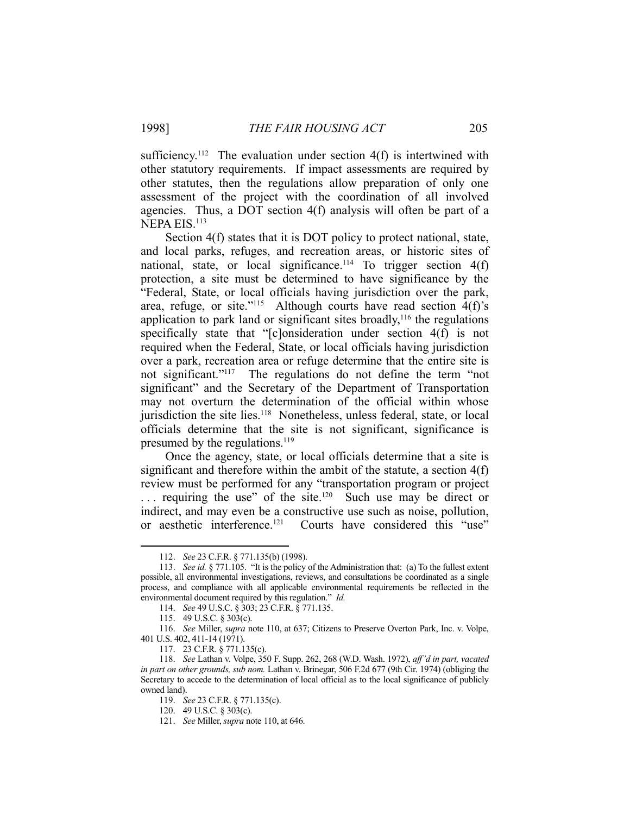sufficiency.<sup>112</sup> The evaluation under section  $4(f)$  is intertwined with other statutory requirements. If impact assessments are required by other statutes, then the regulations allow preparation of only one assessment of the project with the coordination of all involved agencies. Thus, a DOT section 4(f) analysis will often be part of a NEPA EIS.<sup>113</sup>

 Section 4(f) states that it is DOT policy to protect national, state, and local parks, refuges, and recreation areas, or historic sites of national, state, or local significance.<sup>114</sup> To trigger section  $4(f)$ protection, a site must be determined to have significance by the "Federal, State, or local officials having jurisdiction over the park, area, refuge, or site."<sup>115</sup> Although courts have read section  $\frac{4}{12}$ 's application to park land or significant sites broadly,<sup>116</sup> the regulations specifically state that "[c]onsideration under section 4(f) is not required when the Federal, State, or local officials having jurisdiction over a park, recreation area or refuge determine that the entire site is not significant."<sup>117</sup> The regulations do not define the term "not significant" and the Secretary of the Department of Transportation may not overturn the determination of the official within whose jurisdiction the site lies.<sup>118</sup> Nonetheless, unless federal, state, or local officials determine that the site is not significant, significance is presumed by the regulations.<sup>119</sup>

 Once the agency, state, or local officials determine that a site is significant and therefore within the ambit of the statute, a section 4(f) review must be performed for any "transportation program or project ... requiring the use" of the site.<sup>120</sup> Such use may be direct or indirect, and may even be a constructive use such as noise, pollution, or aesthetic interference.<sup>121</sup> Courts have considered this "use"

1

 116. *See* Miller, *supra* note 110, at 637; Citizens to Preserve Overton Park, Inc. v. Volpe, 401 U.S. 402, 411-14 (1971).

117. 23 C.F.R. § 771.135(c).

 <sup>112.</sup> *See* 23 C.F.R. § 771.135(b) (1998).

 <sup>113.</sup> *See id.* § 771.105. "It is the policy of the Administration that: (a) To the fullest extent possible, all environmental investigations, reviews, and consultations be coordinated as a single process, and compliance with all applicable environmental requirements be reflected in the environmental document required by this regulation." *Id.*

 <sup>114.</sup> *See* 49 U.S.C. § 303; 23 C.F.R. § 771.135.

 <sup>115. 49</sup> U.S.C. § 303(c).

 <sup>118.</sup> *See* Lathan v. Volpe, 350 F. Supp. 262, 268 (W.D. Wash. 1972), *aff'd in part, vacated in part on other grounds, sub nom.* Lathan v. Brinegar, 506 F.2d 677 (9th Cir. 1974) (obliging the Secretary to accede to the determination of local official as to the local significance of publicly owned land).

 <sup>119.</sup> *See* 23 C.F.R. § 771.135(c).

 <sup>120. 49</sup> U.S.C. § 303(c).

 <sup>121.</sup> *See* Miller, *supra* note 110, at 646.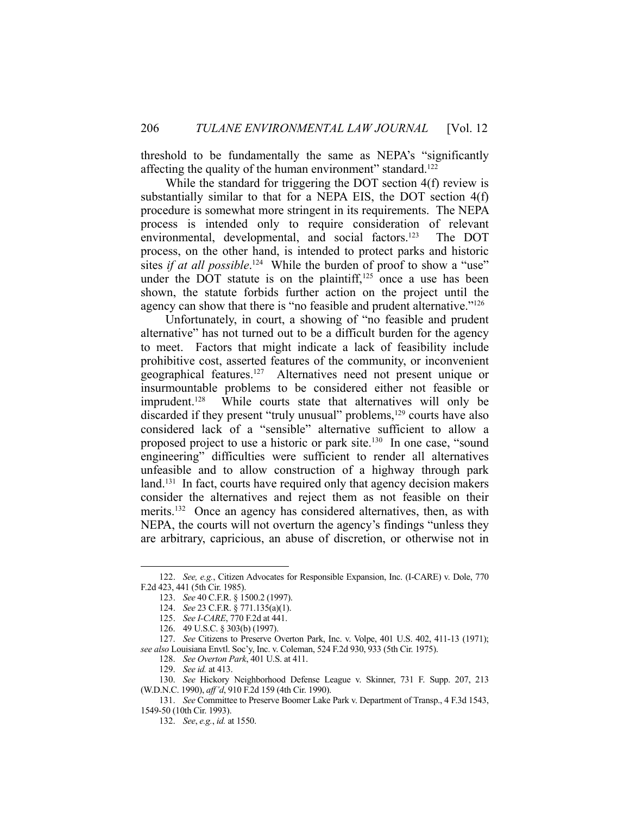threshold to be fundamentally the same as NEPA's "significantly affecting the quality of the human environment" standard.<sup>122</sup>

 While the standard for triggering the DOT section 4(f) review is substantially similar to that for a NEPA EIS, the DOT section 4(f) procedure is somewhat more stringent in its requirements. The NEPA process is intended only to require consideration of relevant environmental, developmental, and social factors.<sup>123</sup> The DOT process, on the other hand, is intended to protect parks and historic sites *if at all possible*.<sup>124</sup> While the burden of proof to show a "use" under the DOT statute is on the plaintiff, $125$  once a use has been shown, the statute forbids further action on the project until the agency can show that there is "no feasible and prudent alternative."<sup>126</sup>

 Unfortunately, in court, a showing of "no feasible and prudent alternative" has not turned out to be a difficult burden for the agency to meet. Factors that might indicate a lack of feasibility include prohibitive cost, asserted features of the community, or inconvenient geographical features.127 Alternatives need not present unique or insurmountable problems to be considered either not feasible or imprudent.<sup>128</sup> While courts state that alternatives will only be discarded if they present "truly unusual" problems,<sup>129</sup> courts have also considered lack of a "sensible" alternative sufficient to allow a proposed project to use a historic or park site.<sup>130</sup> In one case, "sound engineering" difficulties were sufficient to render all alternatives unfeasible and to allow construction of a highway through park land.<sup>131</sup> In fact, courts have required only that agency decision makers consider the alternatives and reject them as not feasible on their merits.<sup>132</sup> Once an agency has considered alternatives, then, as with NEPA, the courts will not overturn the agency's findings "unless they are arbitrary, capricious, an abuse of discretion, or otherwise not in

 <sup>122.</sup> *See, e.g.*, Citizen Advocates for Responsible Expansion, Inc. (I-CARE) v. Dole, 770 F.2d 423, 441 (5th Cir. 1985).

 <sup>123.</sup> *See* 40 C.F.R. § 1500.2 (1997).

 <sup>124.</sup> *See* 23 C.F.R. § 771.135(a)(1).

 <sup>125.</sup> *See I-CARE*, 770 F.2d at 441.

 <sup>126. 49</sup> U.S.C. § 303(b) (1997).

 <sup>127.</sup> *See* Citizens to Preserve Overton Park, Inc. v. Volpe, 401 U.S. 402, 411-13 (1971); *see also* Louisiana Envtl. Soc'y, Inc. v. Coleman, 524 F.2d 930, 933 (5th Cir. 1975).

 <sup>128.</sup> *See Overton Park*, 401 U.S. at 411.

 <sup>129.</sup> *See id.* at 413.

 <sup>130.</sup> *See* Hickory Neighborhood Defense League v. Skinner, 731 F. Supp. 207, 213 (W.D.N.C. 1990), *aff'd*, 910 F.2d 159 (4th Cir. 1990).

 <sup>131.</sup> *See* Committee to Preserve Boomer Lake Park v. Department of Transp., 4 F.3d 1543, 1549-50 (10th Cir. 1993).

 <sup>132.</sup> *See*, *e.g.*, *id.* at 1550.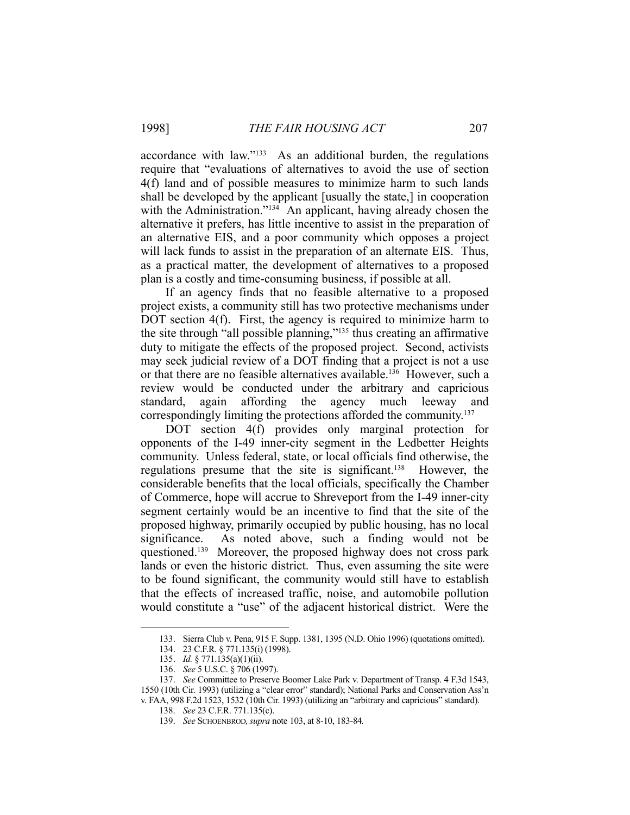accordance with law."133 As an additional burden, the regulations require that "evaluations of alternatives to avoid the use of section 4(f) land and of possible measures to minimize harm to such lands shall be developed by the applicant [usually the state,] in cooperation with the Administration."<sup>134</sup> An applicant, having already chosen the alternative it prefers, has little incentive to assist in the preparation of an alternative EIS, and a poor community which opposes a project will lack funds to assist in the preparation of an alternate EIS. Thus, as a practical matter, the development of alternatives to a proposed plan is a costly and time-consuming business, if possible at all.

 If an agency finds that no feasible alternative to a proposed project exists, a community still has two protective mechanisms under DOT section 4(f). First, the agency is required to minimize harm to the site through "all possible planning,"135 thus creating an affirmative duty to mitigate the effects of the proposed project. Second, activists may seek judicial review of a DOT finding that a project is not a use or that there are no feasible alternatives available.<sup>136</sup> However, such a review would be conducted under the arbitrary and capricious standard, again affording the agency much leeway and correspondingly limiting the protections afforded the community. 137

 DOT section 4(f) provides only marginal protection for opponents of the I-49 inner-city segment in the Ledbetter Heights community. Unless federal, state, or local officials find otherwise, the regulations presume that the site is significant.<sup>138</sup> However, the considerable benefits that the local officials, specifically the Chamber of Commerce, hope will accrue to Shreveport from the I-49 inner-city segment certainly would be an incentive to find that the site of the proposed highway, primarily occupied by public housing, has no local significance. As noted above, such a finding would not be As noted above, such a finding would not be questioned.<sup>139</sup> Moreover, the proposed highway does not cross park lands or even the historic district. Thus, even assuming the site were to be found significant, the community would still have to establish that the effects of increased traffic, noise, and automobile pollution would constitute a "use" of the adjacent historical district. Were the

 <sup>133.</sup> Sierra Club v. Pena, 915 F. Supp. 1381, 1395 (N.D. Ohio 1996) (quotations omitted).

 <sup>134. 23</sup> C.F.R. § 771.135(i) (1998).

 <sup>135.</sup> *Id.* § 771.135(a)(1)(ii).

 <sup>136.</sup> *See* 5 U.S.C. § 706 (1997).

 <sup>137.</sup> *See* Committee to Preserve Boomer Lake Park v. Department of Transp. 4 F.3d 1543, 1550 (10th Cir. 1993) (utilizing a "clear error" standard); National Parks and Conservation Ass'n v. FAA, 998 F.2d 1523, 1532 (10th Cir. 1993) (utilizing an "arbitrary and capricious" standard).

 <sup>138.</sup> *See* 23 C.F.R. 771.135(c).

 <sup>139.</sup> *See* SCHOENBROD*,supra* note 103, at 8-10, 183-84*.*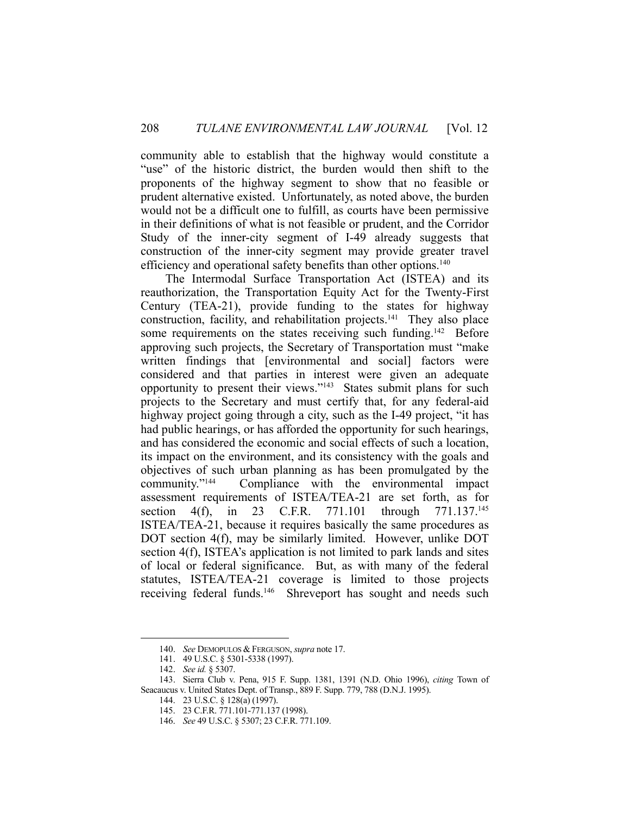community able to establish that the highway would constitute a "use" of the historic district, the burden would then shift to the proponents of the highway segment to show that no feasible or prudent alternative existed. Unfortunately, as noted above, the burden would not be a difficult one to fulfill, as courts have been permissive in their definitions of what is not feasible or prudent, and the Corridor Study of the inner-city segment of I-49 already suggests that construction of the inner-city segment may provide greater travel efficiency and operational safety benefits than other options.<sup>140</sup>

 The Intermodal Surface Transportation Act (ISTEA) and its reauthorization, the Transportation Equity Act for the Twenty-First Century (TEA-21), provide funding to the states for highway construction, facility, and rehabilitation projects. $141$  They also place some requirements on the states receiving such funding.<sup>142</sup> Before approving such projects, the Secretary of Transportation must "make written findings that [environmental and social] factors were considered and that parties in interest were given an adequate opportunity to present their views."143 States submit plans for such projects to the Secretary and must certify that, for any federal-aid highway project going through a city, such as the I-49 project, "it has had public hearings, or has afforded the opportunity for such hearings, and has considered the economic and social effects of such a location, its impact on the environment, and its consistency with the goals and objectives of such urban planning as has been promulgated by the community."144 Compliance with the environmental impact assessment requirements of ISTEA/TEA-21 are set forth, as for section 4(f), in 23 C.F.R. 771.101 through 771.137.<sup>145</sup> ISTEA/TEA-21, because it requires basically the same procedures as DOT section 4(f), may be similarly limited. However, unlike DOT section 4(f), ISTEA's application is not limited to park lands and sites of local or federal significance. But, as with many of the federal statutes, ISTEA/TEA-21 coverage is limited to those projects receiving federal funds.<sup>146</sup> Shreveport has sought and needs such

 <sup>140.</sup> *See* DEMOPULOS & FERGUSON, *supra* note 17.

 <sup>141. 49</sup> U.S.C. § 5301-5338 (1997).

 <sup>142.</sup> *See id.* § 5307.

 <sup>143.</sup> Sierra Club v. Pena, 915 F. Supp. 1381, 1391 (N.D. Ohio 1996), *citing* Town of Seacaucus v. United States Dept. of Transp., 889 F. Supp. 779, 788 (D.N.J. 1995).

 <sup>144. 23</sup> U.S.C. § 128(a) (1997).

 <sup>145. 23</sup> C.F.R. 771.101-771.137 (1998).

 <sup>146.</sup> *See* 49 U.S.C. § 5307; 23 C.F.R. 771.109.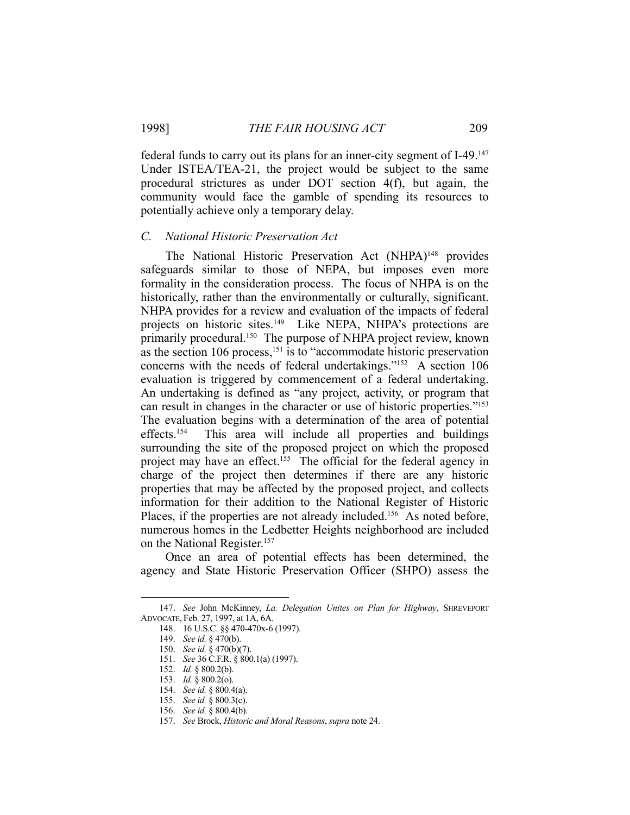federal funds to carry out its plans for an inner-city segment of I-49.147 Under ISTEA/TEA-21, the project would be subject to the same procedural strictures as under DOT section 4(f), but again, the community would face the gamble of spending its resources to potentially achieve only a temporary delay.

#### *C. National Historic Preservation Act*

The National Historic Preservation Act (NHPA)<sup>148</sup> provides safeguards similar to those of NEPA, but imposes even more formality in the consideration process. The focus of NHPA is on the historically, rather than the environmentally or culturally, significant. NHPA provides for a review and evaluation of the impacts of federal projects on historic sites.<sup>149</sup> Like NEPA, NHPA's protections are primarily procedural.<sup>150</sup> The purpose of NHPA project review, known as the section  $106$  process,<sup>151</sup> is to "accommodate historic preservation concerns with the needs of federal undertakings."152 A section 106 evaluation is triggered by commencement of a federal undertaking. An undertaking is defined as "any project, activity, or program that can result in changes in the character or use of historic properties."153 The evaluation begins with a determination of the area of potential effects.154 This area will include all properties and buildings surrounding the site of the proposed project on which the proposed project may have an effect.<sup>155</sup> The official for the federal agency in charge of the project then determines if there are any historic properties that may be affected by the proposed project, and collects information for their addition to the National Register of Historic Places, if the properties are not already included.<sup>156</sup> As noted before, numerous homes in the Ledbetter Heights neighborhood are included on the National Register.<sup>157</sup>

 Once an area of potential effects has been determined, the agency and State Historic Preservation Officer (SHPO) assess the

 <sup>147.</sup> *See* John McKinney, *La. Delegation Unites on Plan for Highway*, SHREVEPORT ADVOCATE, Feb. 27, 1997, at 1A, 6A.

 <sup>148. 16</sup> U.S.C. §§ 470-470x-6 (1997).

 <sup>149.</sup> *See id.* § 470(b).

 <sup>150.</sup> *See id.* § 470(b)(7).

 <sup>151.</sup> *See* 36 C.F.R. § 800.1(a) (1997).

 <sup>152.</sup> *Id.* § 800.2(b).

 <sup>153.</sup> *Id.* § 800.2(o).

 <sup>154.</sup> *See id.* § 800.4(a).

 <sup>155.</sup> *See id.* § 800.3(c).

 <sup>156.</sup> *See id.* § 800.4(b).

 <sup>157.</sup> *See* Brock, *Historic and Moral Reasons*, *supra* note 24.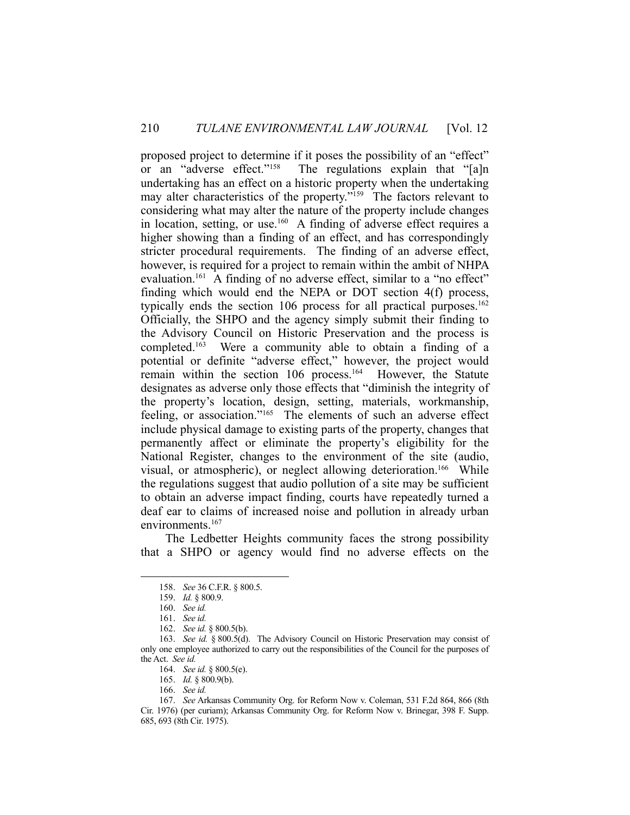proposed project to determine if it poses the possibility of an "effect" or an "adverse effect."<sup>158</sup> The regulations explain that "[a]n undertaking has an effect on a historic property when the undertaking may alter characteristics of the property."<sup>159</sup> The factors relevant to considering what may alter the nature of the property include changes in location, setting, or use.<sup>160</sup> A finding of adverse effect requires a higher showing than a finding of an effect, and has correspondingly stricter procedural requirements. The finding of an adverse effect, however, is required for a project to remain within the ambit of NHPA evaluation.<sup>161</sup> A finding of no adverse effect, similar to a "no effect" finding which would end the NEPA or DOT section 4(f) process, typically ends the section 106 process for all practical purposes.<sup>162</sup> Officially, the SHPO and the agency simply submit their finding to the Advisory Council on Historic Preservation and the process is completed.163 Were a community able to obtain a finding of a potential or definite "adverse effect," however, the project would remain within the section 106 process.<sup>164</sup> However, the Statute designates as adverse only those effects that "diminish the integrity of the property's location, design, setting, materials, workmanship, feeling, or association."165 The elements of such an adverse effect include physical damage to existing parts of the property, changes that permanently affect or eliminate the property's eligibility for the National Register, changes to the environment of the site (audio, visual, or atmospheric), or neglect allowing deterioration.166 While the regulations suggest that audio pollution of a site may be sufficient to obtain an adverse impact finding, courts have repeatedly turned a deaf ear to claims of increased noise and pollution in already urban environments.167

 The Ledbetter Heights community faces the strong possibility that a SHPO or agency would find no adverse effects on the

 <sup>158.</sup> *See* 36 C.F.R. § 800.5.

 <sup>159.</sup> *Id.* § 800.9.

 <sup>160.</sup> *See id.*

 <sup>161.</sup> *See id.*

 <sup>162.</sup> *See id.* § 800.5(b).

 <sup>163.</sup> *See id.* § 800.5(d). The Advisory Council on Historic Preservation may consist of only one employee authorized to carry out the responsibilities of the Council for the purposes of the Act. *See id.*

 <sup>164.</sup> *See id.* § 800.5(e).

 <sup>165.</sup> *Id.* § 800.9(b).

 <sup>166.</sup> *See id.*

 <sup>167.</sup> *See* Arkansas Community Org. for Reform Now v. Coleman, 531 F.2d 864, 866 (8th Cir. 1976) (per curiam); Arkansas Community Org. for Reform Now v. Brinegar, 398 F. Supp. 685, 693 (8th Cir. 1975).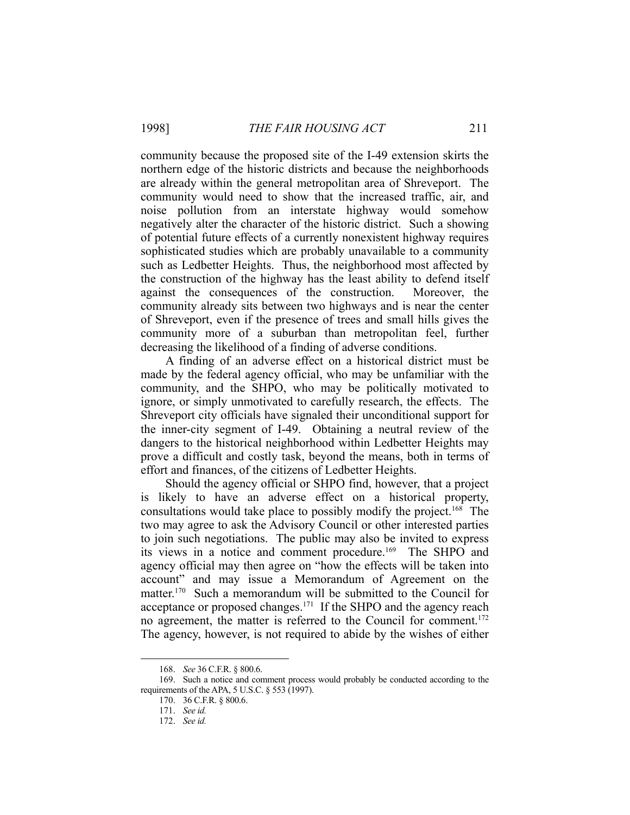community because the proposed site of the I-49 extension skirts the northern edge of the historic districts and because the neighborhoods are already within the general metropolitan area of Shreveport. The community would need to show that the increased traffic, air, and noise pollution from an interstate highway would somehow negatively alter the character of the historic district. Such a showing of potential future effects of a currently nonexistent highway requires sophisticated studies which are probably unavailable to a community such as Ledbetter Heights. Thus, the neighborhood most affected by the construction of the highway has the least ability to defend itself against the consequences of the construction. Moreover, the community already sits between two highways and is near the center of Shreveport, even if the presence of trees and small hills gives the community more of a suburban than metropolitan feel, further decreasing the likelihood of a finding of adverse conditions.

 A finding of an adverse effect on a historical district must be made by the federal agency official, who may be unfamiliar with the community, and the SHPO, who may be politically motivated to ignore, or simply unmotivated to carefully research, the effects. The Shreveport city officials have signaled their unconditional support for the inner-city segment of I-49. Obtaining a neutral review of the dangers to the historical neighborhood within Ledbetter Heights may prove a difficult and costly task, beyond the means, both in terms of effort and finances, of the citizens of Ledbetter Heights.

 Should the agency official or SHPO find, however, that a project is likely to have an adverse effect on a historical property, consultations would take place to possibly modify the project.168 The two may agree to ask the Advisory Council or other interested parties to join such negotiations. The public may also be invited to express its views in a notice and comment procedure.<sup>169</sup> The SHPO and agency official may then agree on "how the effects will be taken into account" and may issue a Memorandum of Agreement on the matter.170 Such a memorandum will be submitted to the Council for acceptance or proposed changes.171 If the SHPO and the agency reach no agreement, the matter is referred to the Council for comment. 172 The agency, however, is not required to abide by the wishes of either

 <sup>168.</sup> *See* 36 C.F.R. § 800.6.

 <sup>169.</sup> Such a notice and comment process would probably be conducted according to the requirements of the APA, 5 U.S.C. § 553 (1997).

 <sup>170. 36</sup> C.F.R. § 800.6.

 <sup>171.</sup> *See id.*

 <sup>172.</sup> *See id.*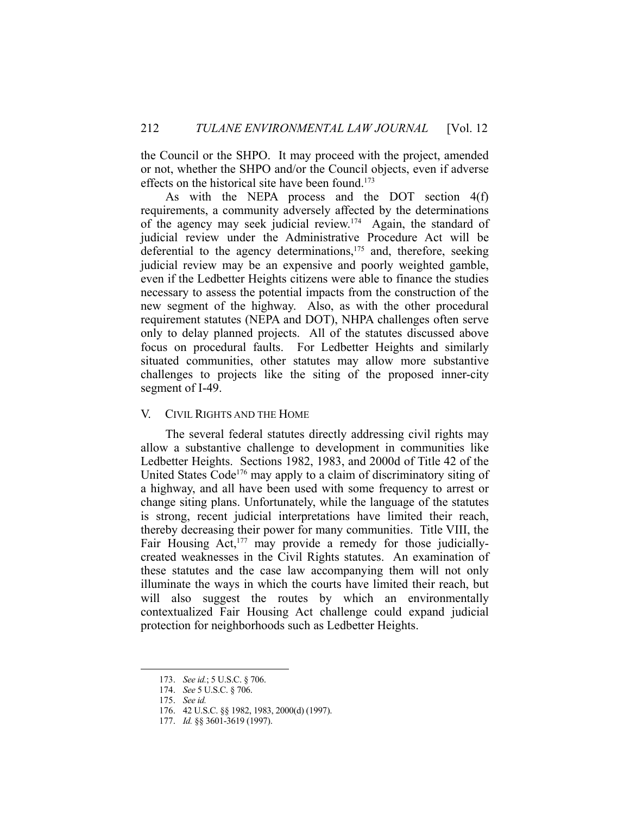the Council or the SHPO. It may proceed with the project, amended or not, whether the SHPO and/or the Council objects, even if adverse effects on the historical site have been found.<sup>173</sup>

 As with the NEPA process and the DOT section 4(f) requirements, a community adversely affected by the determinations of the agency may seek judicial review.174 Again, the standard of judicial review under the Administrative Procedure Act will be deferential to the agency determinations,<sup>175</sup> and, therefore, seeking judicial review may be an expensive and poorly weighted gamble, even if the Ledbetter Heights citizens were able to finance the studies necessary to assess the potential impacts from the construction of the new segment of the highway. Also, as with the other procedural requirement statutes (NEPA and DOT), NHPA challenges often serve only to delay planned projects. All of the statutes discussed above focus on procedural faults. For Ledbetter Heights and similarly situated communities, other statutes may allow more substantive challenges to projects like the siting of the proposed inner-city segment of I-49.

## V. CIVIL RIGHTS AND THE HOME

 The several federal statutes directly addressing civil rights may allow a substantive challenge to development in communities like Ledbetter Heights. Sections 1982, 1983, and 2000d of Title 42 of the United States Code<sup>176</sup> may apply to a claim of discriminatory siting of a highway, and all have been used with some frequency to arrest or change siting plans. Unfortunately, while the language of the statutes is strong, recent judicial interpretations have limited their reach, thereby decreasing their power for many communities. Title VIII, the Fair Housing Act,<sup>177</sup> may provide a remedy for those judiciallycreated weaknesses in the Civil Rights statutes. An examination of these statutes and the case law accompanying them will not only illuminate the ways in which the courts have limited their reach, but will also suggest the routes by which an environmentally contextualized Fair Housing Act challenge could expand judicial protection for neighborhoods such as Ledbetter Heights.

 <sup>173.</sup> *See id.*; 5 U.S.C. § 706.

 <sup>174.</sup> *See* 5 U.S.C. § 706.

 <sup>175.</sup> *See id.*

 <sup>176. 42</sup> U.S.C. §§ 1982, 1983, 2000(d) (1997).

 <sup>177.</sup> *Id.* §§ 3601-3619 (1997).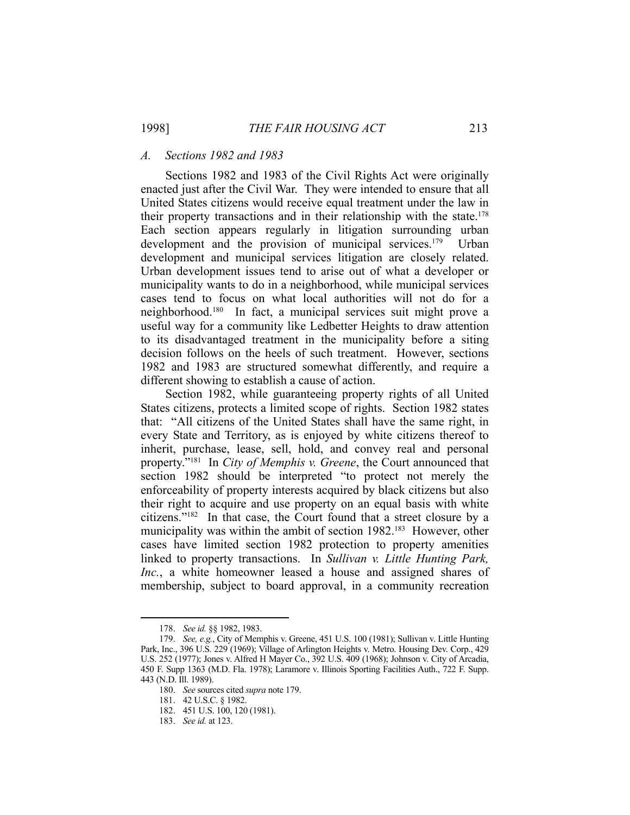#### *A. Sections 1982 and 1983*

 Sections 1982 and 1983 of the Civil Rights Act were originally enacted just after the Civil War. They were intended to ensure that all United States citizens would receive equal treatment under the law in their property transactions and in their relationship with the state.178 Each section appears regularly in litigation surrounding urban development and the provision of municipal services.<sup>179</sup> Urban development and municipal services litigation are closely related. Urban development issues tend to arise out of what a developer or municipality wants to do in a neighborhood, while municipal services cases tend to focus on what local authorities will not do for a neighborhood.180 In fact, a municipal services suit might prove a useful way for a community like Ledbetter Heights to draw attention to its disadvantaged treatment in the municipality before a siting decision follows on the heels of such treatment. However, sections 1982 and 1983 are structured somewhat differently, and require a different showing to establish a cause of action.

 Section 1982, while guaranteeing property rights of all United States citizens, protects a limited scope of rights. Section 1982 states that: "All citizens of the United States shall have the same right, in every State and Territory, as is enjoyed by white citizens thereof to inherit, purchase, lease, sell, hold, and convey real and personal property."181 In *City of Memphis v. Greene*, the Court announced that section 1982 should be interpreted "to protect not merely the enforceability of property interests acquired by black citizens but also their right to acquire and use property on an equal basis with white citizens."182 In that case, the Court found that a street closure by a municipality was within the ambit of section 1982.<sup>183</sup> However, other cases have limited section 1982 protection to property amenities linked to property transactions. In *Sullivan v. Little Hunting Park, Inc.*, a white homeowner leased a house and assigned shares of membership, subject to board approval, in a community recreation

 <sup>178.</sup> *See id.* §§ 1982, 1983.

 <sup>179.</sup> *See, e.g.*, City of Memphis v. Greene, 451 U.S. 100 (1981); Sullivan v. Little Hunting Park, Inc., 396 U.S. 229 (1969); Village of Arlington Heights v. Metro. Housing Dev. Corp., 429 U.S. 252 (1977); Jones v. Alfred H Mayer Co., 392 U.S. 409 (1968); Johnson v. City of Arcadia, 450 F. Supp 1363 (M.D. Fla. 1978); Laramore v. Illinois Sporting Facilities Auth., 722 F. Supp. 443 (N.D. Ill. 1989).

 <sup>180.</sup> *See* sources cited *supra* note 179.

 <sup>181. 42</sup> U.S.C. § 1982.

 <sup>182. 451</sup> U.S. 100, 120 (1981).

 <sup>183.</sup> *See id.* at 123.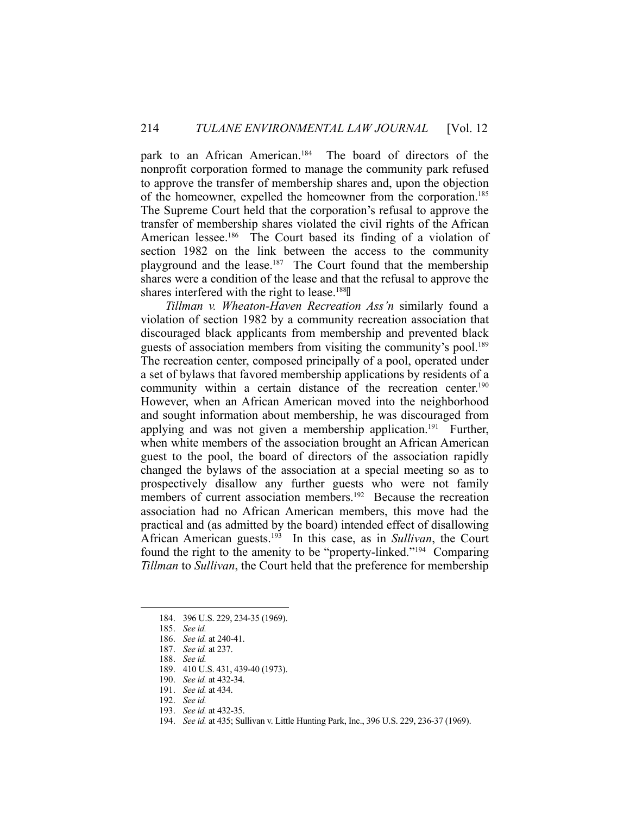park to an African American.184 The board of directors of the nonprofit corporation formed to manage the community park refused to approve the transfer of membership shares and, upon the objection of the homeowner, expelled the homeowner from the corporation.185 The Supreme Court held that the corporation's refusal to approve the transfer of membership shares violated the civil rights of the African American lessee.<sup>186</sup> The Court based its finding of a violation of section 1982 on the link between the access to the community playground and the lease.<sup>187</sup> The Court found that the membership shares were a condition of the lease and that the refusal to approve the shares interfered with the right to lease.<sup>188</sup>

*Tillman v. Wheaton-Haven Recreation Ass'n* similarly found a violation of section 1982 by a community recreation association that discouraged black applicants from membership and prevented black guests of association members from visiting the community's pool.<sup>189</sup> The recreation center, composed principally of a pool, operated under a set of bylaws that favored membership applications by residents of a community within a certain distance of the recreation center.<sup>190</sup> However, when an African American moved into the neighborhood and sought information about membership, he was discouraged from applying and was not given a membership application.<sup>191</sup> Further, when white members of the association brought an African American guest to the pool, the board of directors of the association rapidly changed the bylaws of the association at a special meeting so as to prospectively disallow any further guests who were not family members of current association members.<sup>192</sup> Because the recreation association had no African American members, this move had the practical and (as admitted by the board) intended effect of disallowing African American guests.193 In this case, as in *Sullivan*, the Court found the right to the amenity to be "property-linked."194 Comparing *Tillman* to *Sullivan*, the Court held that the preference for membership

 <sup>184. 396</sup> U.S. 229, 234-35 (1969).

 <sup>185.</sup> *See id.*

 <sup>186.</sup> *See id.* at 240-41.

 <sup>187.</sup> *See id.* at 237.

 <sup>188.</sup> *See id.*

 <sup>189. 410</sup> U.S. 431, 439-40 (1973).

 <sup>190.</sup> *See id.* at 432-34.

 <sup>191.</sup> *See id.* at 434.

 <sup>192.</sup> *See id.*

 <sup>193.</sup> *See id.* at 432-35.

 <sup>194.</sup> *See id.* at 435; Sullivan v. Little Hunting Park, Inc., 396 U.S. 229, 236-37 (1969).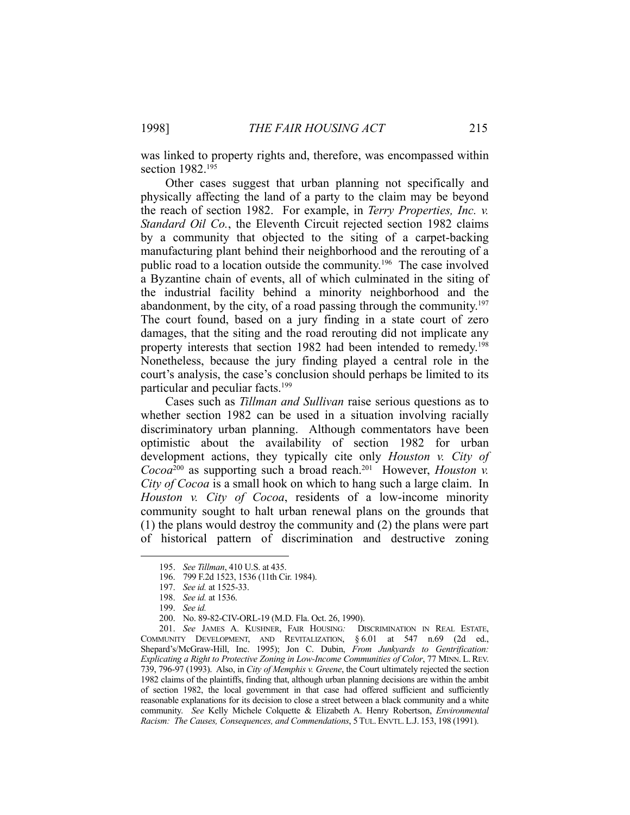was linked to property rights and, therefore, was encompassed within section 1982.<sup>195</sup>

 Other cases suggest that urban planning not specifically and physically affecting the land of a party to the claim may be beyond the reach of section 1982. For example, in *Terry Properties, Inc. v. Standard Oil Co.*, the Eleventh Circuit rejected section 1982 claims by a community that objected to the siting of a carpet-backing manufacturing plant behind their neighborhood and the rerouting of a public road to a location outside the community.<sup>196</sup> The case involved a Byzantine chain of events, all of which culminated in the siting of the industrial facility behind a minority neighborhood and the abandonment, by the city, of a road passing through the community.197 The court found, based on a jury finding in a state court of zero damages, that the siting and the road rerouting did not implicate any property interests that section 1982 had been intended to remedy.<sup>198</sup> Nonetheless, because the jury finding played a central role in the court's analysis, the case's conclusion should perhaps be limited to its particular and peculiar facts.<sup>199</sup>

 Cases such as *Tillman and Sullivan* raise serious questions as to whether section 1982 can be used in a situation involving racially discriminatory urban planning. Although commentators have been optimistic about the availability of section 1982 for urban development actions, they typically cite only *Houston v. City of Cocoa*200 as supporting such a broad reach.201 However, *Houston v. City of Cocoa* is a small hook on which to hang such a large claim. In *Houston v. City of Cocoa*, residents of a low-income minority community sought to halt urban renewal plans on the grounds that (1) the plans would destroy the community and (2) the plans were part of historical pattern of discrimination and destructive zoning

1

 201. *See* JAMES A. KUSHNER, FAIR HOUSING*:* DISCRIMINATION IN REAL ESTATE, COMMUNITY DEVELOPMENT, AND REVITALIZATION, § 6.01 at 547 n.69 (2d ed., Shepard's/McGraw-Hill, Inc. 1995); Jon C. Dubin, *From Junkyards to Gentrification: Explicating a Right to Protective Zoning in Low-Income Communities of Color*, 77 MINN. L. REV. 739, 796-97 (1993). Also, in *City of Memphis v. Greene*, the Court ultimately rejected the section 1982 claims of the plaintiffs, finding that, although urban planning decisions are within the ambit of section 1982, the local government in that case had offered sufficient and sufficiently reasonable explanations for its decision to close a street between a black community and a white community. *See* Kelly Michele Colquette & Elizabeth A. Henry Robertson, *Environmental Racism: The Causes, Consequences, and Commendations*, 5TUL. ENVTL. L.J. 153, 198 (1991).

 <sup>195.</sup> *See Tillman*, 410 U.S. at 435.

 <sup>196. 799</sup> F.2d 1523, 1536 (11th Cir. 1984).

 <sup>197.</sup> *See id.* at 1525-33.

 <sup>198.</sup> *See id.* at 1536.

 <sup>199.</sup> *See id.*

 <sup>200.</sup> No. 89-82-CIV-ORL-19 (M.D. Fla. Oct. 26, 1990).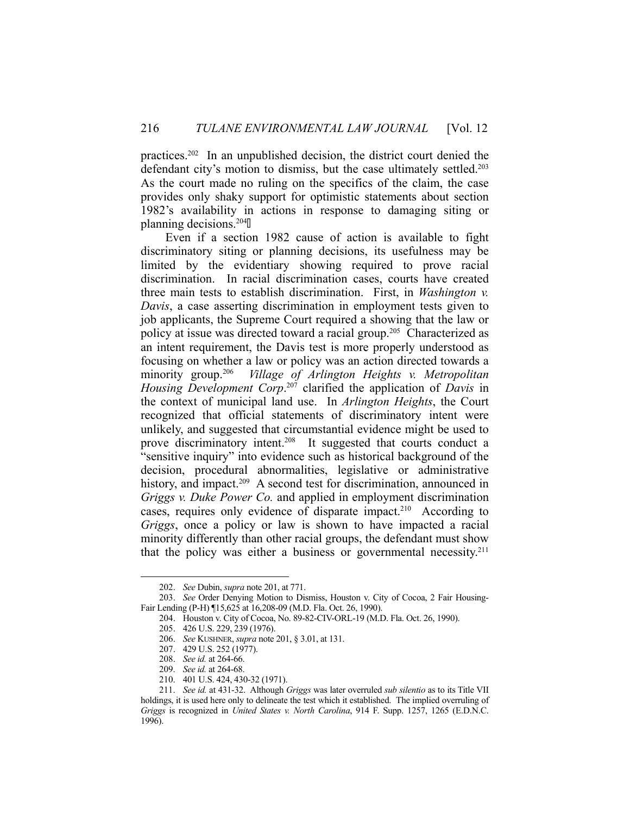practices.202 In an unpublished decision, the district court denied the defendant city's motion to dismiss, but the case ultimately settled.<sup>203</sup> As the court made no ruling on the specifics of the claim, the case provides only shaky support for optimistic statements about section 1982's availability in actions in response to damaging siting or planning decisions.204

 Even if a section 1982 cause of action is available to fight discriminatory siting or planning decisions, its usefulness may be limited by the evidentiary showing required to prove racial discrimination. In racial discrimination cases, courts have created three main tests to establish discrimination. First, in *Washington v. Davis*, a case asserting discrimination in employment tests given to job applicants, the Supreme Court required a showing that the law or policy at issue was directed toward a racial group.205 Characterized as an intent requirement, the Davis test is more properly understood as focusing on whether a law or policy was an action directed towards a minority group.206 *Village of Arlington Heights v. Metropolitan Housing Development Corp*. 207 clarified the application of *Davis* in the context of municipal land use. In *Arlington Heights*, the Court recognized that official statements of discriminatory intent were unlikely, and suggested that circumstantial evidence might be used to prove discriminatory intent.<sup>208</sup> It suggested that courts conduct a "sensitive inquiry" into evidence such as historical background of the decision, procedural abnormalities, legislative or administrative history, and impact.<sup>209</sup> A second test for discrimination, announced in *Griggs v. Duke Power Co.* and applied in employment discrimination cases, requires only evidence of disparate impact.210 According to *Griggs*, once a policy or law is shown to have impacted a racial minority differently than other racial groups, the defendant must show that the policy was either a business or governmental necessity. 211

 <sup>202.</sup> *See* Dubin, *supra* note 201, at 771.

 <sup>203.</sup> *See* Order Denying Motion to Dismiss, Houston v. City of Cocoa, 2 Fair Housing-Fair Lending (P-H) ¶15,625 at 16,208-09 (M.D. Fla. Oct. 26, 1990).

 <sup>204.</sup> Houston v. City of Cocoa, No. 89-82-CIV-ORL-19 (M.D. Fla. Oct. 26, 1990).

 <sup>205. 426</sup> U.S. 229, 239 (1976).

 <sup>206.</sup> *See* KUSHNER, *supra* note 201, § 3.01, at 131.

 <sup>207. 429</sup> U.S. 252 (1977).

 <sup>208.</sup> *See id.* at 264-66.

 <sup>209.</sup> *See id.* at 264-68.

 <sup>210. 401</sup> U.S. 424, 430-32 (1971).

 <sup>211.</sup> *See id.* at 431-32. Although *Griggs* was later overruled *sub silentio* as to its Title VII holdings, it is used here only to delineate the test which it established. The implied overruling of *Griggs* is recognized in *United States v. North Carolina*, 914 F. Supp. 1257, 1265 (E.D.N.C. 1996).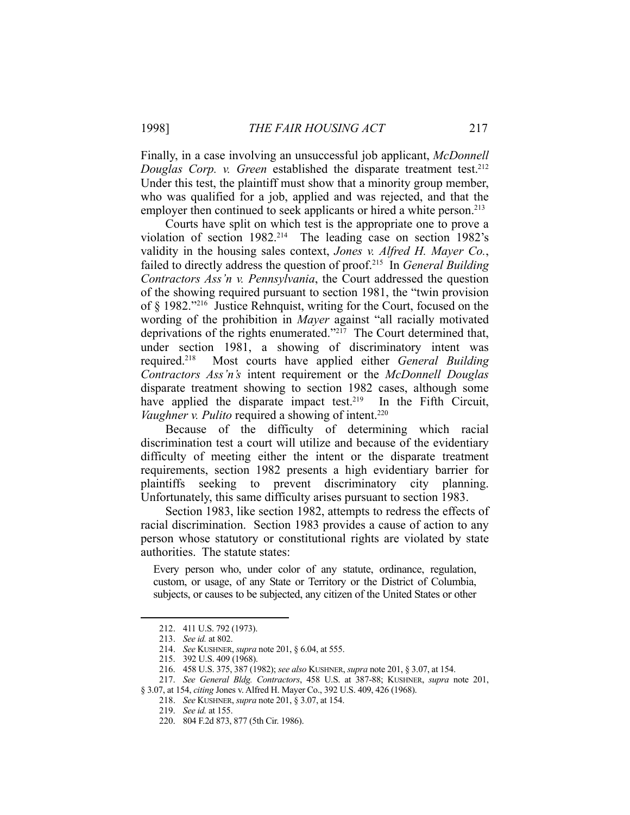Finally, in a case involving an unsuccessful job applicant, *McDonnell Douglas Corp. v. Green* established the disparate treatment test.<sup>212</sup> Under this test, the plaintiff must show that a minority group member, who was qualified for a job, applied and was rejected, and that the employer then continued to seek applicants or hired a white person.<sup>213</sup>

 Courts have split on which test is the appropriate one to prove a violation of section 1982.<sup>214</sup> The leading case on section 1982's validity in the housing sales context, *Jones v. Alfred H. Mayer Co.*, failed to directly address the question of proof.215 In *General Building Contractors Ass'n v. Pennsylvania*, the Court addressed the question of the showing required pursuant to section 1981, the "twin provision of § 1982."216 Justice Rehnquist, writing for the Court, focused on the wording of the prohibition in *Mayer* against "all racially motivated deprivations of the rights enumerated."<sup>217</sup> The Court determined that, under section 1981, a showing of discriminatory intent was required.218 Most courts have applied either *General Building Contractors Ass'n's* intent requirement or the *McDonnell Douglas* disparate treatment showing to section 1982 cases, although some have applied the disparate impact test.<sup>219</sup> In the Fifth Circuit, *Vaughner v. Pulito* required a showing of intent.<sup>220</sup>

 Because of the difficulty of determining which racial discrimination test a court will utilize and because of the evidentiary difficulty of meeting either the intent or the disparate treatment requirements, section 1982 presents a high evidentiary barrier for plaintiffs seeking to prevent discriminatory city planning. Unfortunately, this same difficulty arises pursuant to section 1983.

 Section 1983, like section 1982, attempts to redress the effects of racial discrimination. Section 1983 provides a cause of action to any person whose statutory or constitutional rights are violated by state authorities. The statute states:

Every person who, under color of any statute, ordinance, regulation, custom, or usage, of any State or Territory or the District of Columbia, subjects, or causes to be subjected, any citizen of the United States or other

 <sup>212. 411</sup> U.S. 792 (1973).

 <sup>213.</sup> *See id.* at 802.

 <sup>214.</sup> *See* KUSHNER, *supra* note 201, § 6.04, at 555.

 <sup>215. 392</sup> U.S. 409 (1968).

 <sup>216. 458</sup> U.S. 375, 387 (1982); *see also* KUSHNER, *supra* note 201, § 3.07, at 154.

 <sup>217.</sup> *See General Bldg. Contractors*, 458 U.S. at 387-88; KUSHNER, *supra* note 201,

<sup>§ 3.07,</sup> at 154, *citing* Jones v. Alfred H. Mayer Co., 392 U.S. 409, 426 (1968).

 <sup>218.</sup> *See* KUSHNER, *supra* note 201, § 3.07, at 154.

 <sup>219.</sup> *See id.* at 155.

 <sup>220. 804</sup> F.2d 873, 877 (5th Cir. 1986).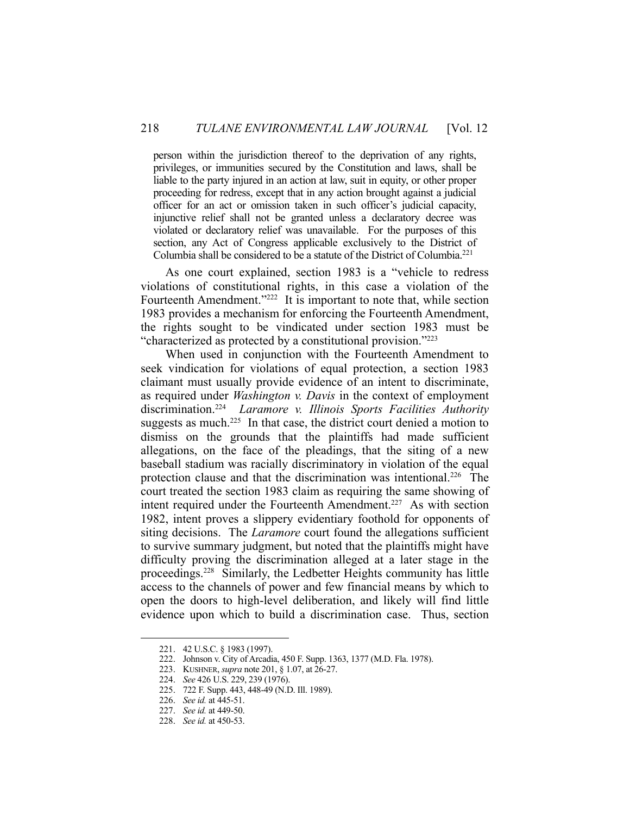person within the jurisdiction thereof to the deprivation of any rights, privileges, or immunities secured by the Constitution and laws, shall be liable to the party injured in an action at law, suit in equity, or other proper proceeding for redress, except that in any action brought against a judicial officer for an act or omission taken in such officer's judicial capacity, injunctive relief shall not be granted unless a declaratory decree was violated or declaratory relief was unavailable. For the purposes of this section, any Act of Congress applicable exclusively to the District of Columbia shall be considered to be a statute of the District of Columbia.221

 As one court explained, section 1983 is a "vehicle to redress violations of constitutional rights, in this case a violation of the Fourteenth Amendment."<sup>222</sup> It is important to note that, while section 1983 provides a mechanism for enforcing the Fourteenth Amendment, the rights sought to be vindicated under section 1983 must be "characterized as protected by a constitutional provision."223

 When used in conjunction with the Fourteenth Amendment to seek vindication for violations of equal protection, a section 1983 claimant must usually provide evidence of an intent to discriminate, as required under *Washington v. Davis* in the context of employment discrimination.224 *Laramore v. Illinois Sports Facilities Authority* suggests as much.<sup>225</sup> In that case, the district court denied a motion to dismiss on the grounds that the plaintiffs had made sufficient allegations, on the face of the pleadings, that the siting of a new baseball stadium was racially discriminatory in violation of the equal protection clause and that the discrimination was intentional.<sup>226</sup> The court treated the section 1983 claim as requiring the same showing of intent required under the Fourteenth Amendment.<sup>227</sup> As with section 1982, intent proves a slippery evidentiary foothold for opponents of siting decisions. The *Laramore* court found the allegations sufficient to survive summary judgment, but noted that the plaintiffs might have difficulty proving the discrimination alleged at a later stage in the proceedings.228 Similarly, the Ledbetter Heights community has little access to the channels of power and few financial means by which to open the doors to high-level deliberation, and likely will find little evidence upon which to build a discrimination case. Thus, section

 <sup>221. 42</sup> U.S.C. § 1983 (1997).

 <sup>222.</sup> Johnson v. City of Arcadia, 450 F. Supp. 1363, 1377 (M.D. Fla. 1978).

 <sup>223.</sup> KUSHNER, *supra* note 201, § 1.07, at 26-27.

 <sup>224.</sup> *See* 426 U.S. 229, 239 (1976).

 <sup>225. 722</sup> F. Supp. 443, 448-49 (N.D. Ill. 1989).

 <sup>226.</sup> *See id.* at 445-51.

 <sup>227.</sup> *See id.* at 449-50.

 <sup>228.</sup> *See id.* at 450-53.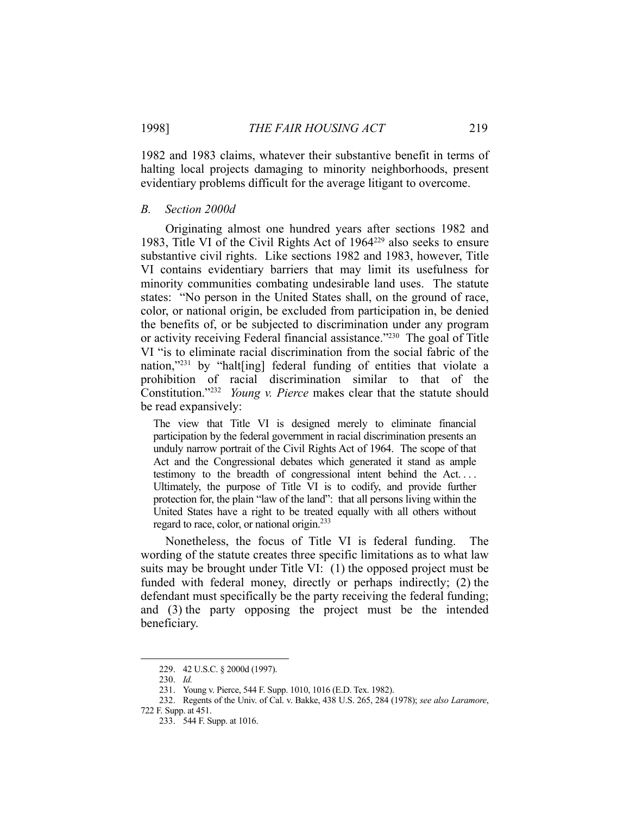1982 and 1983 claims, whatever their substantive benefit in terms of halting local projects damaging to minority neighborhoods, present evidentiary problems difficult for the average litigant to overcome.

## *B. Section 2000d*

 Originating almost one hundred years after sections 1982 and 1983, Title VI of the Civil Rights Act of 1964229 also seeks to ensure substantive civil rights. Like sections 1982 and 1983, however, Title VI contains evidentiary barriers that may limit its usefulness for minority communities combating undesirable land uses. The statute states: "No person in the United States shall, on the ground of race, color, or national origin, be excluded from participation in, be denied the benefits of, or be subjected to discrimination under any program or activity receiving Federal financial assistance."230 The goal of Title VI "is to eliminate racial discrimination from the social fabric of the nation,"231 by "halt[ing] federal funding of entities that violate a prohibition of racial discrimination similar to that of the Constitution."232 *Young v. Pierce* makes clear that the statute should be read expansively:

The view that Title VI is designed merely to eliminate financial participation by the federal government in racial discrimination presents an unduly narrow portrait of the Civil Rights Act of 1964. The scope of that Act and the Congressional debates which generated it stand as ample testimony to the breadth of congressional intent behind the Act. . . . Ultimately, the purpose of Title VI is to codify, and provide further protection for, the plain "law of the land": that all persons living within the United States have a right to be treated equally with all others without regard to race, color, or national origin.<sup>233</sup>

 Nonetheless, the focus of Title VI is federal funding. The wording of the statute creates three specific limitations as to what law suits may be brought under Title VI: (1) the opposed project must be funded with federal money, directly or perhaps indirectly; (2) the defendant must specifically be the party receiving the federal funding; and (3) the party opposing the project must be the intended beneficiary.

 <sup>229. 42</sup> U.S.C. § 2000d (1997).

 <sup>230.</sup> *Id.*

 <sup>231.</sup> Young v. Pierce, 544 F. Supp. 1010, 1016 (E.D. Tex. 1982).

 <sup>232.</sup> Regents of the Univ. of Cal. v. Bakke, 438 U.S. 265, 284 (1978); *see also Laramore*,

<sup>722</sup> F. Supp. at 451.

 <sup>233. 544</sup> F. Supp. at 1016.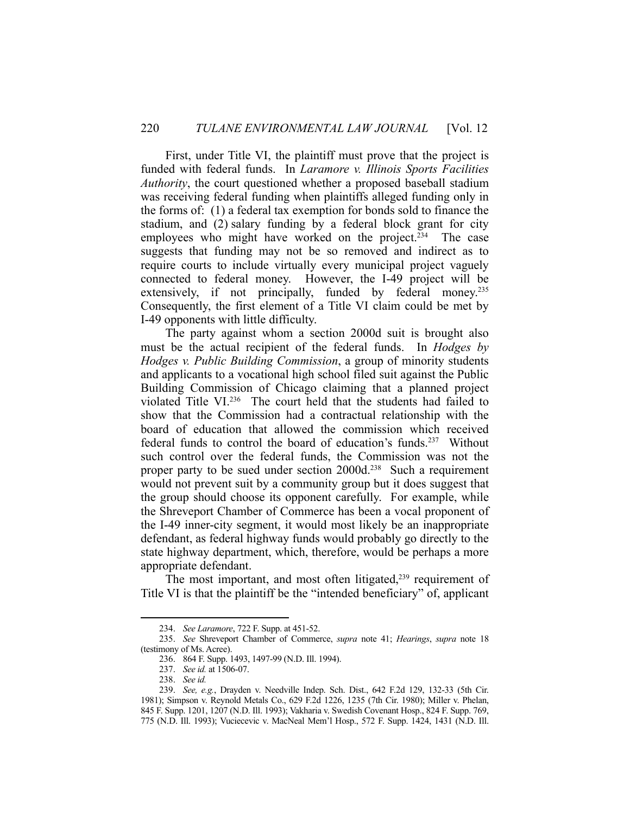First, under Title VI, the plaintiff must prove that the project is funded with federal funds. In *Laramore v. Illinois Sports Facilities Authority*, the court questioned whether a proposed baseball stadium was receiving federal funding when plaintiffs alleged funding only in the forms of: (1) a federal tax exemption for bonds sold to finance the stadium, and (2) salary funding by a federal block grant for city employees who might have worked on the project.<sup>234</sup> The case suggests that funding may not be so removed and indirect as to require courts to include virtually every municipal project vaguely connected to federal money. However, the I-49 project will be extensively, if not principally, funded by federal money.<sup>235</sup> Consequently, the first element of a Title VI claim could be met by I-49 opponents with little difficulty.

 The party against whom a section 2000d suit is brought also must be the actual recipient of the federal funds. In *Hodges by Hodges v. Public Building Commission*, a group of minority students and applicants to a vocational high school filed suit against the Public Building Commission of Chicago claiming that a planned project violated Title VI.236 The court held that the students had failed to show that the Commission had a contractual relationship with the board of education that allowed the commission which received federal funds to control the board of education's funds.237 Without such control over the federal funds, the Commission was not the proper party to be sued under section 2000d.<sup>238</sup> Such a requirement would not prevent suit by a community group but it does suggest that the group should choose its opponent carefully. For example, while the Shreveport Chamber of Commerce has been a vocal proponent of the I-49 inner-city segment, it would most likely be an inappropriate defendant, as federal highway funds would probably go directly to the state highway department, which, therefore, would be perhaps a more appropriate defendant.

The most important, and most often litigated, $239$  requirement of Title VI is that the plaintiff be the "intended beneficiary" of, applicant

 <sup>234.</sup> *See Laramore*, 722 F. Supp. at 451-52.

 <sup>235.</sup> *See* Shreveport Chamber of Commerce, *supra* note 41; *Hearings*, *supra* note 18 (testimony of Ms. Acree).

 <sup>236. 864</sup> F. Supp. 1493, 1497-99 (N.D. Ill. 1994).

 <sup>237.</sup> *See id.* at 1506-07.

 <sup>238.</sup> *See id.*

 <sup>239.</sup> *See, e.g.*, Drayden v. Needville Indep. Sch. Dist., 642 F.2d 129, 132-33 (5th Cir. 1981); Simpson v. Reynold Metals Co., 629 F.2d 1226, 1235 (7th Cir. 1980); Miller v. Phelan, 845 F. Supp. 1201, 1207 (N.D. Ill. 1993); Vakharia v. Swedish Covenant Hosp., 824 F. Supp. 769, 775 (N.D. Ill. 1993); Vuciecevic v. MacNeal Mem'l Hosp., 572 F. Supp. 1424, 1431 (N.D. Ill.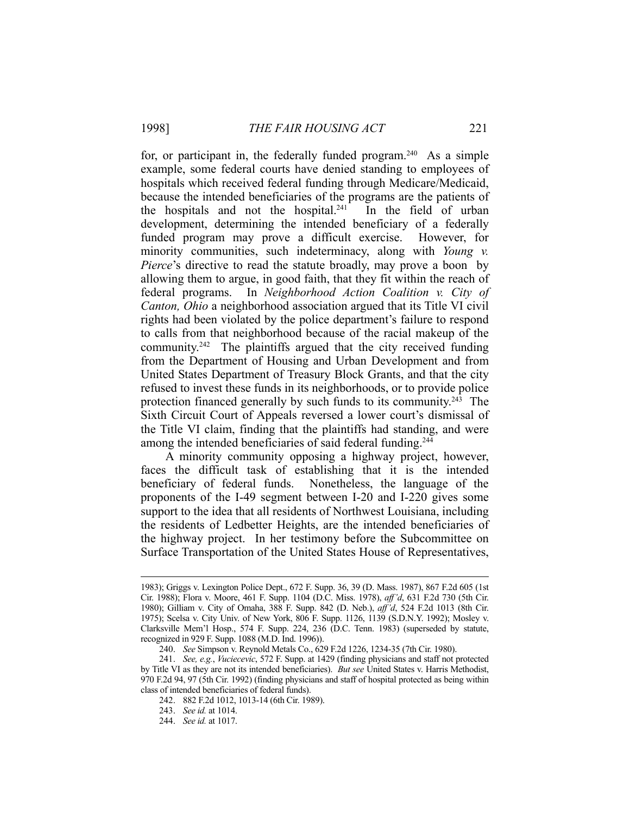for, or participant in, the federally funded program.<sup>240</sup> As a simple example, some federal courts have denied standing to employees of hospitals which received federal funding through Medicare/Medicaid, because the intended beneficiaries of the programs are the patients of the hospitals and not the hospital. $241$  In the field of urban development, determining the intended beneficiary of a federally funded program may prove a difficult exercise. However, for minority communities, such indeterminacy, along with *Young v. Pierce*'s directive to read the statute broadly, may prove a boon by allowing them to argue, in good faith, that they fit within the reach of federal programs. In *Neighborhood Action Coalition v. City of Canton, Ohio* a neighborhood association argued that its Title VI civil rights had been violated by the police department's failure to respond to calls from that neighborhood because of the racial makeup of the community.<sup>242</sup> The plaintiffs argued that the city received funding from the Department of Housing and Urban Development and from United States Department of Treasury Block Grants, and that the city refused to invest these funds in its neighborhoods, or to provide police protection financed generally by such funds to its community.243 The Sixth Circuit Court of Appeals reversed a lower court's dismissal of the Title VI claim, finding that the plaintiffs had standing, and were among the intended beneficiaries of said federal funding.<sup>244</sup>

 A minority community opposing a highway project, however, faces the difficult task of establishing that it is the intended beneficiary of federal funds. Nonetheless, the language of the proponents of the I-49 segment between I-20 and I-220 gives some support to the idea that all residents of Northwest Louisiana, including the residents of Ledbetter Heights, are the intended beneficiaries of the highway project. In her testimony before the Subcommittee on Surface Transportation of the United States House of Representatives,

 <sup>1983);</sup> Griggs v. Lexington Police Dept., 672 F. Supp. 36, 39 (D. Mass. 1987), 867 F.2d 605 (1st Cir. 1988); Flora v. Moore, 461 F. Supp. 1104 (D.C. Miss. 1978), *aff'd*, 631 F.2d 730 (5th Cir. 1980); Gilliam v. City of Omaha, 388 F. Supp. 842 (D. Neb.), *aff'd*, 524 F.2d 1013 (8th Cir. 1975); Scelsa v. City Univ. of New York, 806 F. Supp. 1126, 1139 (S.D.N.Y. 1992); Mosley v. Clarksville Mem'l Hosp., 574 F. Supp. 224, 236 (D.C. Tenn. 1983) (superseded by statute, recognized in 929 F. Supp. 1088 (M.D. Ind. 1996)).

 <sup>240.</sup> *See* Simpson v. Reynold Metals Co., 629 F.2d 1226, 1234-35 (7th Cir. 1980).

 <sup>241.</sup> *See, e.g.*, *Vuciecevic*, 572 F. Supp. at 1429 (finding physicians and staff not protected by Title VI as they are not its intended beneficiaries). *But see* United States v. Harris Methodist, 970 F.2d 94, 97 (5th Cir. 1992) (finding physicians and staff of hospital protected as being within class of intended beneficiaries of federal funds).

 <sup>242. 882</sup> F.2d 1012, 1013-14 (6th Cir. 1989).

 <sup>243.</sup> *See id.* at 1014.

 <sup>244.</sup> *See id.* at 1017.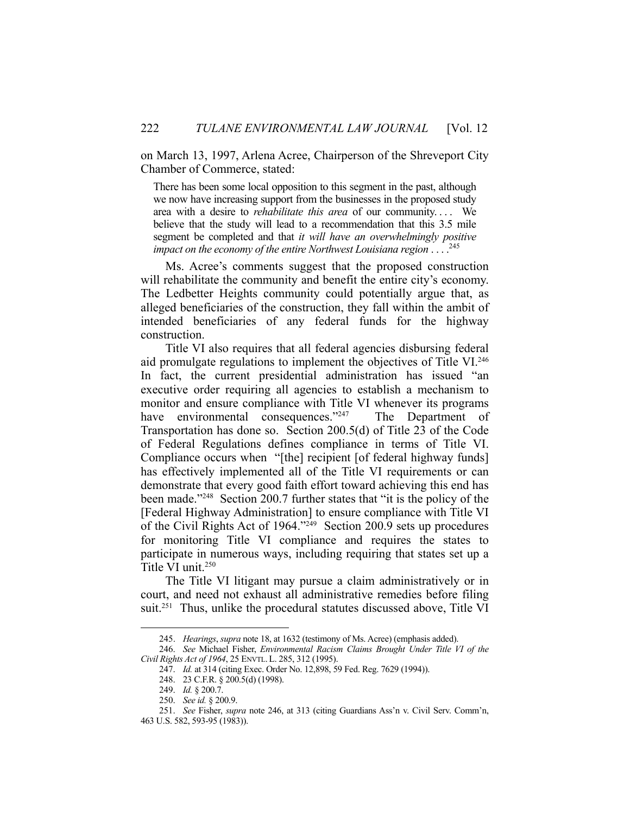on March 13, 1997, Arlena Acree, Chairperson of the Shreveport City Chamber of Commerce, stated:

There has been some local opposition to this segment in the past, although we now have increasing support from the businesses in the proposed study area with a desire to *rehabilitate this area* of our community. . . . We believe that the study will lead to a recommendation that this 3.5 mile segment be completed and that *it will have an overwhelmingly positive impact on the economy of the entire Northwest Louisiana region* . . . .245

 Ms. Acree's comments suggest that the proposed construction will rehabilitate the community and benefit the entire city's economy. The Ledbetter Heights community could potentially argue that, as alleged beneficiaries of the construction, they fall within the ambit of intended beneficiaries of any federal funds for the highway construction.

 Title VI also requires that all federal agencies disbursing federal aid promulgate regulations to implement the objectives of Title VI.246 In fact, the current presidential administration has issued "an executive order requiring all agencies to establish a mechanism to monitor and ensure compliance with Title VI whenever its programs have environmental consequences."<sup>247</sup> The Department of Transportation has done so. Section 200.5(d) of Title 23 of the Code of Federal Regulations defines compliance in terms of Title VI. Compliance occurs when "[the] recipient [of federal highway funds] has effectively implemented all of the Title VI requirements or can demonstrate that every good faith effort toward achieving this end has been made."<sup>248</sup> Section 200.7 further states that "it is the policy of the [Federal Highway Administration] to ensure compliance with Title VI of the Civil Rights Act of 1964."249 Section 200.9 sets up procedures for monitoring Title VI compliance and requires the states to participate in numerous ways, including requiring that states set up a Title VI unit.250

 The Title VI litigant may pursue a claim administratively or in court, and need not exhaust all administrative remedies before filing suit.<sup>251</sup> Thus, unlike the procedural statutes discussed above, Title VI

 <sup>245.</sup> *Hearings*, *supra* note 18, at 1632 (testimony of Ms. Acree) (emphasis added).

 <sup>246.</sup> *See* Michael Fisher, *Environmental Racism Claims Brought Under Title VI of the Civil Rights Act of 1964*, 25 ENVTL. L. 285, 312 (1995).

 <sup>247.</sup> *Id.* at 314 (citing Exec. Order No. 12,898, 59 Fed. Reg. 7629 (1994)).

 <sup>248. 23</sup> C.F.R. § 200.5(d) (1998).

 <sup>249.</sup> *Id.* § 200.7.

 <sup>250.</sup> *See id.* § 200.9.

 <sup>251.</sup> *See* Fisher, *supra* note 246, at 313 (citing Guardians Ass'n v. Civil Serv. Comm'n, 463 U.S. 582, 593-95 (1983)).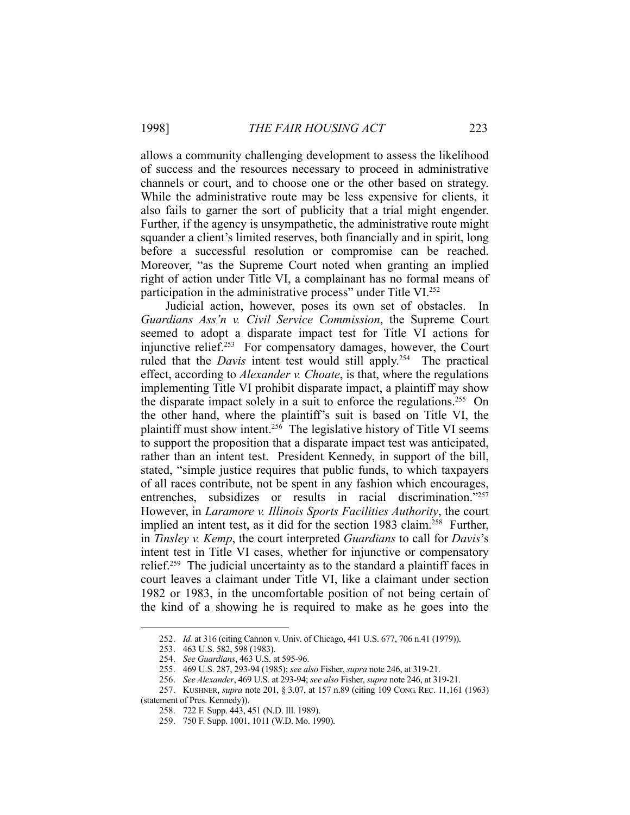allows a community challenging development to assess the likelihood of success and the resources necessary to proceed in administrative channels or court, and to choose one or the other based on strategy. While the administrative route may be less expensive for clients, it also fails to garner the sort of publicity that a trial might engender. Further, if the agency is unsympathetic, the administrative route might squander a client's limited reserves, both financially and in spirit, long before a successful resolution or compromise can be reached. Moreover, "as the Supreme Court noted when granting an implied right of action under Title VI, a complainant has no formal means of participation in the administrative process" under Title VI.<sup>252</sup>

 Judicial action, however, poses its own set of obstacles. In *Guardians Ass'n v. Civil Service Commission*, the Supreme Court seemed to adopt a disparate impact test for Title VI actions for injunctive relief.253 For compensatory damages, however, the Court ruled that the *Davis* intent test would still apply.<sup>254</sup> The practical effect, according to *Alexander v. Choate*, is that, where the regulations implementing Title VI prohibit disparate impact, a plaintiff may show the disparate impact solely in a suit to enforce the regulations.255 On the other hand, where the plaintiff's suit is based on Title VI, the plaintiff must show intent.256 The legislative history of Title VI seems to support the proposition that a disparate impact test was anticipated, rather than an intent test. President Kennedy, in support of the bill, stated, "simple justice requires that public funds, to which taxpayers of all races contribute, not be spent in any fashion which encourages, entrenches, subsidizes or results in racial discrimination."257 However, in *Laramore v. Illinois Sports Facilities Authority*, the court implied an intent test, as it did for the section 1983 claim.<sup>258</sup> Further, in *Tinsley v. Kemp*, the court interpreted *Guardians* to call for *Davis*'s intent test in Title VI cases, whether for injunctive or compensatory relief.259 The judicial uncertainty as to the standard a plaintiff faces in court leaves a claimant under Title VI, like a claimant under section 1982 or 1983, in the uncomfortable position of not being certain of the kind of a showing he is required to make as he goes into the

 <sup>252.</sup> *Id.* at 316 (citing Cannon v. Univ. of Chicago, 441 U.S. 677, 706 n.41 (1979)).

 <sup>253. 463</sup> U.S. 582, 598 (1983).

 <sup>254.</sup> *See Guardians*, 463 U.S. at 595-96.

 <sup>255. 469</sup> U.S. 287, 293-94 (1985); *see also* Fisher, *supra* note 246, at 319-21.

 <sup>256.</sup> *See Alexander*, 469 U.S. at 293-94; *see also* Fisher, *supra* note 246, at 319-21.

 <sup>257.</sup> KUSHNER, *supra* note 201, § 3.07, at 157 n.89 (citing 109 CONG. REC. 11,161 (1963)

<sup>(</sup>statement of Pres. Kennedy)).

 <sup>258. 722</sup> F. Supp. 443, 451 (N.D. Ill. 1989).

 <sup>259. 750</sup> F. Supp. 1001, 1011 (W.D. Mo. 1990).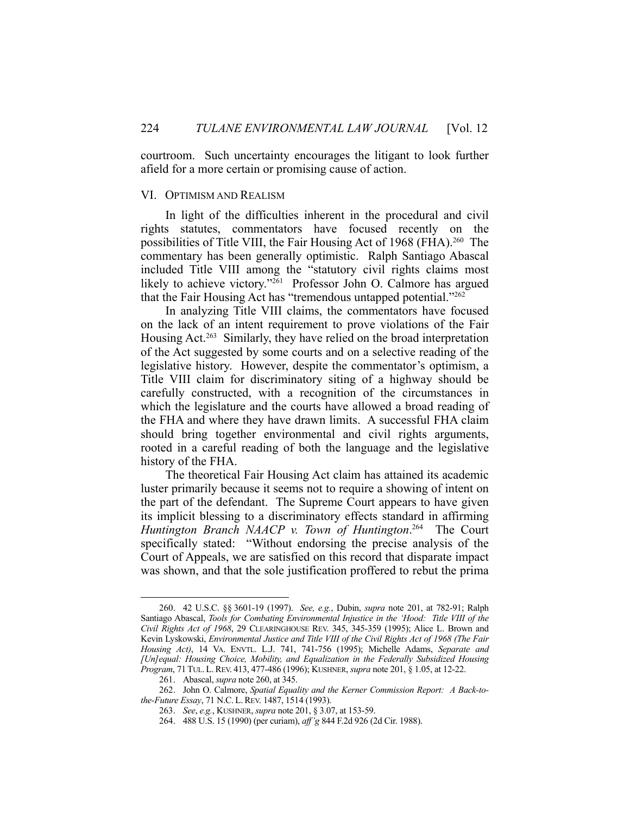courtroom. Such uncertainty encourages the litigant to look further afield for a more certain or promising cause of action.

#### VI. OPTIMISM AND REALISM

 In light of the difficulties inherent in the procedural and civil rights statutes, commentators have focused recently on the possibilities of Title VIII, the Fair Housing Act of 1968 (FHA).<sup>260</sup> The commentary has been generally optimistic. Ralph Santiago Abascal included Title VIII among the "statutory civil rights claims most likely to achieve victory."<sup>261</sup> Professor John O. Calmore has argued that the Fair Housing Act has "tremendous untapped potential."262

 In analyzing Title VIII claims, the commentators have focused on the lack of an intent requirement to prove violations of the Fair Housing Act.<sup>263</sup> Similarly, they have relied on the broad interpretation of the Act suggested by some courts and on a selective reading of the legislative history. However, despite the commentator's optimism, a Title VIII claim for discriminatory siting of a highway should be carefully constructed, with a recognition of the circumstances in which the legislature and the courts have allowed a broad reading of the FHA and where they have drawn limits. A successful FHA claim should bring together environmental and civil rights arguments, rooted in a careful reading of both the language and the legislative history of the FHA.

 The theoretical Fair Housing Act claim has attained its academic luster primarily because it seems not to require a showing of intent on the part of the defendant. The Supreme Court appears to have given its implicit blessing to a discriminatory effects standard in affirming *Huntington Branch NAACP v. Town of Huntington*. 264 The Court specifically stated: "Without endorsing the precise analysis of the Court of Appeals, we are satisfied on this record that disparate impact was shown, and that the sole justification proffered to rebut the prima

 <sup>260. 42</sup> U.S.C. §§ 3601-19 (1997). *See, e.g.*, Dubin, *supra* note 201, at 782-91; Ralph Santiago Abascal, *Tools for Combating Environmental Injustice in the 'Hood: Title VIII of the Civil Rights Act of 1968*, 29 CLEARINGHOUSE REV. 345, 345-359 (1995); Alice L. Brown and Kevin Lyskowski, *Environmental Justice and Title VIII of the Civil Rights Act of 1968 (The Fair Housing Act)*, 14 VA. ENVTL. L.J. 741, 741-756 (1995); Michelle Adams, *Separate and [Un]equal: Housing Choice, Mobility, and Equalization in the Federally Subsidized Housing Program*, 71TUL. L.REV. 413, 477-486 (1996); KUSHNER, *supra* note 201, § 1.05, at 12-22.

 <sup>261.</sup> Abascal, *supra* note 260, at 345.

 <sup>262.</sup> John O. Calmore, *Spatial Equality and the Kerner Commission Report: A Back-tothe-Future Essay*, 71 N.C. L.REV. 1487, 1514 (1993).

 <sup>263.</sup> *See*, *e.g.*, KUSHNER, *supra* note 201, § 3.07, at 153-59.

 <sup>264. 488</sup> U.S. 15 (1990) (per curiam), *aff'g* 844 F.2d 926 (2d Cir. 1988).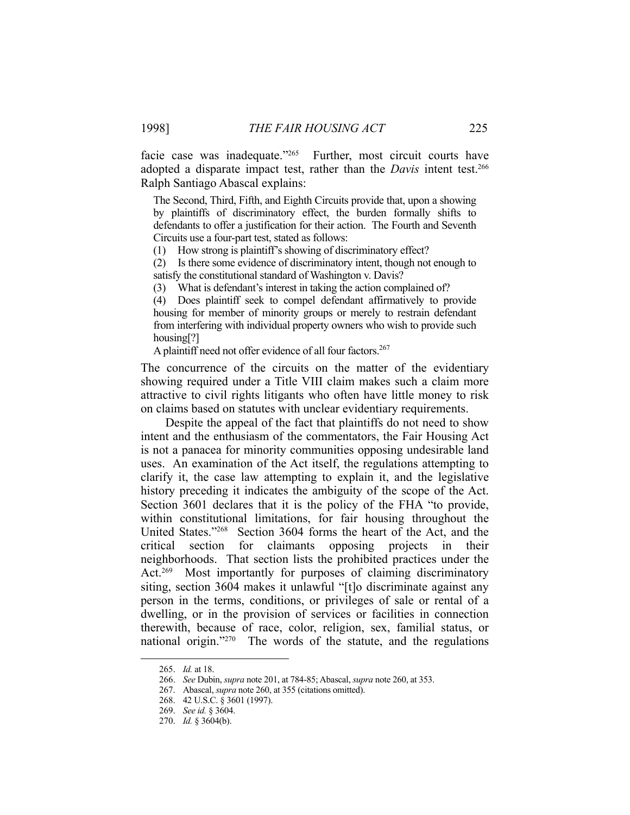facie case was inadequate."<sup>265</sup> Further, most circuit courts have adopted a disparate impact test, rather than the *Davis* intent test.266 Ralph Santiago Abascal explains:

The Second, Third, Fifth, and Eighth Circuits provide that, upon a showing by plaintiffs of discriminatory effect, the burden formally shifts to defendants to offer a justification for their action. The Fourth and Seventh Circuits use a four-part test, stated as follows:

(1) How strong is plaintiff's showing of discriminatory effect?

(2) Is there some evidence of discriminatory intent, though not enough to satisfy the constitutional standard of Washington v. Davis?

(3) What is defendant's interest in taking the action complained of?

(4) Does plaintiff seek to compel defendant affirmatively to provide housing for member of minority groups or merely to restrain defendant from interfering with individual property owners who wish to provide such housing[?]

A plaintiff need not offer evidence of all four factors.<sup>267</sup>

The concurrence of the circuits on the matter of the evidentiary showing required under a Title VIII claim makes such a claim more attractive to civil rights litigants who often have little money to risk on claims based on statutes with unclear evidentiary requirements.

 Despite the appeal of the fact that plaintiffs do not need to show intent and the enthusiasm of the commentators, the Fair Housing Act is not a panacea for minority communities opposing undesirable land uses. An examination of the Act itself, the regulations attempting to clarify it, the case law attempting to explain it, and the legislative history preceding it indicates the ambiguity of the scope of the Act. Section 3601 declares that it is the policy of the FHA "to provide, within constitutional limitations, for fair housing throughout the United States."268 Section 3604 forms the heart of the Act, and the critical section for claimants opposing projects in their neighborhoods. That section lists the prohibited practices under the Act.<sup>269</sup> Most importantly for purposes of claiming discriminatory siting, section 3604 makes it unlawful "[t]o discriminate against any person in the terms, conditions, or privileges of sale or rental of a dwelling, or in the provision of services or facilities in connection therewith, because of race, color, religion, sex, familial status, or national origin."270 The words of the statute, and the regulations

 <sup>265.</sup> *Id.* at 18.

 <sup>266.</sup> *See* Dubin, *supra* note 201, at 784-85; Abascal, *supra* note 260, at 353.

 <sup>267.</sup> Abascal, *supra* note 260, at 355 (citations omitted).

 <sup>268. 42</sup> U.S.C. § 3601 (1997).

 <sup>269.</sup> *See id.* § 3604.

 <sup>270.</sup> *Id.* § 3604(b).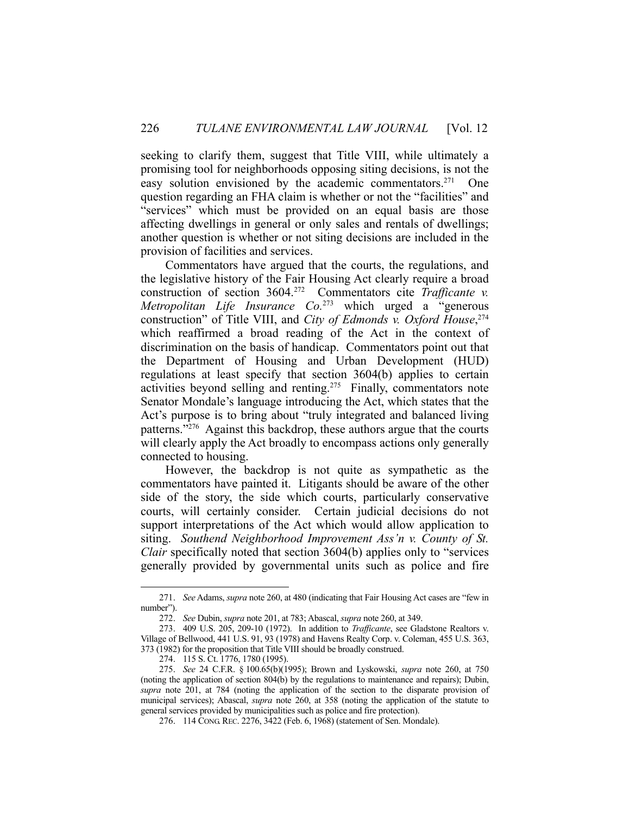seeking to clarify them, suggest that Title VIII, while ultimately a promising tool for neighborhoods opposing siting decisions, is not the easy solution envisioned by the academic commentators.<sup>271</sup> One question regarding an FHA claim is whether or not the "facilities" and "services" which must be provided on an equal basis are those affecting dwellings in general or only sales and rentals of dwellings; another question is whether or not siting decisions are included in the provision of facilities and services.

 Commentators have argued that the courts, the regulations, and the legislative history of the Fair Housing Act clearly require a broad construction of section 3604.272 Commentators cite *Trafficante v. Metropolitan Life Insurance Co.*273 which urged a "generous construction" of Title VIII, and *City of Edmonds v. Oxford House*, 274 which reaffirmed a broad reading of the Act in the context of discrimination on the basis of handicap. Commentators point out that the Department of Housing and Urban Development (HUD) regulations at least specify that section 3604(b) applies to certain activities beyond selling and renting.<sup>275</sup> Finally, commentators note Senator Mondale's language introducing the Act, which states that the Act's purpose is to bring about "truly integrated and balanced living patterns."276 Against this backdrop, these authors argue that the courts will clearly apply the Act broadly to encompass actions only generally connected to housing.

 However, the backdrop is not quite as sympathetic as the commentators have painted it. Litigants should be aware of the other side of the story, the side which courts, particularly conservative courts, will certainly consider. Certain judicial decisions do not support interpretations of the Act which would allow application to siting. *Southend Neighborhood Improvement Ass'n v. County of St. Clair* specifically noted that section 3604(b) applies only to "services generally provided by governmental units such as police and fire

 <sup>271.</sup> *See* Adams, *supra* note 260, at 480 (indicating that Fair Housing Act cases are "few in number").

 <sup>272.</sup> *See* Dubin, *supra* note 201, at 783; Abascal, *supra* note 260, at 349.

 <sup>273. 409</sup> U.S. 205, 209-10 (1972). In addition to *Trafficante*, see Gladstone Realtors v. Village of Bellwood, 441 U.S. 91, 93 (1978) and Havens Realty Corp. v. Coleman, 455 U.S. 363, 373 (1982) for the proposition that Title VIII should be broadly construed.

 <sup>274. 115</sup> S. Ct. 1776, 1780 (1995).

 <sup>275.</sup> *See* 24 C.F.R. § 100.65(b)(1995); Brown and Lyskowski, *supra* note 260, at 750 (noting the application of section 804(b) by the regulations to maintenance and repairs); Dubin, *supra* note 201, at 784 (noting the application of the section to the disparate provision of municipal services); Abascal, *supra* note 260, at 358 (noting the application of the statute to general services provided by municipalities such as police and fire protection).

 <sup>276. 114</sup> CONG.REC. 2276, 3422 (Feb. 6, 1968) (statement of Sen. Mondale).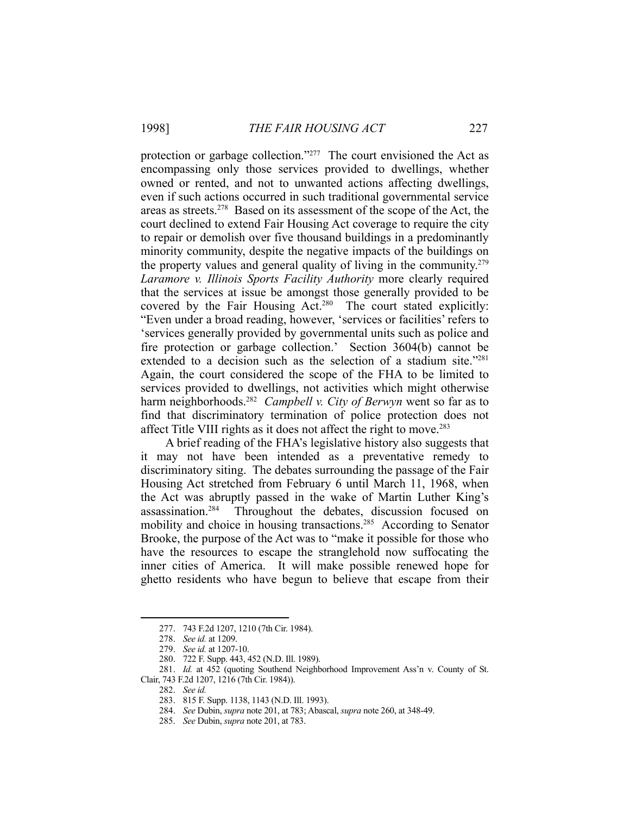protection or garbage collection."<sup>277</sup> The court envisioned the Act as encompassing only those services provided to dwellings, whether owned or rented, and not to unwanted actions affecting dwellings, even if such actions occurred in such traditional governmental service areas as streets.278 Based on its assessment of the scope of the Act, the court declined to extend Fair Housing Act coverage to require the city to repair or demolish over five thousand buildings in a predominantly minority community, despite the negative impacts of the buildings on the property values and general quality of living in the community.<sup>279</sup> *Laramore v. Illinois Sports Facility Authority* more clearly required that the services at issue be amongst those generally provided to be covered by the Fair Housing Act.280 The court stated explicitly: "Even under a broad reading, however, 'services or facilities' refers to 'services generally provided by governmental units such as police and fire protection or garbage collection.' Section 3604(b) cannot be extended to a decision such as the selection of a stadium site."<sup>281</sup> Again, the court considered the scope of the FHA to be limited to services provided to dwellings, not activities which might otherwise harm neighborhoods.282 *Campbell v. City of Berwyn* went so far as to find that discriminatory termination of police protection does not affect Title VIII rights as it does not affect the right to move.<sup>283</sup>

 A brief reading of the FHA's legislative history also suggests that it may not have been intended as a preventative remedy to discriminatory siting. The debates surrounding the passage of the Fair Housing Act stretched from February 6 until March 11, 1968, when the Act was abruptly passed in the wake of Martin Luther King's assassination.284 Throughout the debates, discussion focused on mobility and choice in housing transactions.<sup>285</sup> According to Senator Brooke, the purpose of the Act was to "make it possible for those who have the resources to escape the stranglehold now suffocating the inner cities of America. It will make possible renewed hope for ghetto residents who have begun to believe that escape from their

 <sup>277. 743</sup> F.2d 1207, 1210 (7th Cir. 1984).

 <sup>278.</sup> *See id.* at 1209.

 <sup>279.</sup> *See id.* at 1207-10.

 <sup>280. 722</sup> F. Supp. 443, 452 (N.D. Ill. 1989).

 <sup>281.</sup> *Id.* at 452 (quoting Southend Neighborhood Improvement Ass'n v. County of St. Clair, 743 F.2d 1207, 1216 (7th Cir. 1984)).

 <sup>282.</sup> *See id.*

 <sup>283. 815</sup> F. Supp. 1138, 1143 (N.D. Ill. 1993).

 <sup>284.</sup> *See* Dubin, *supra* note 201, at 783; Abascal, *supra* note 260, at 348-49.

 <sup>285.</sup> *See* Dubin, *supra* note 201, at 783.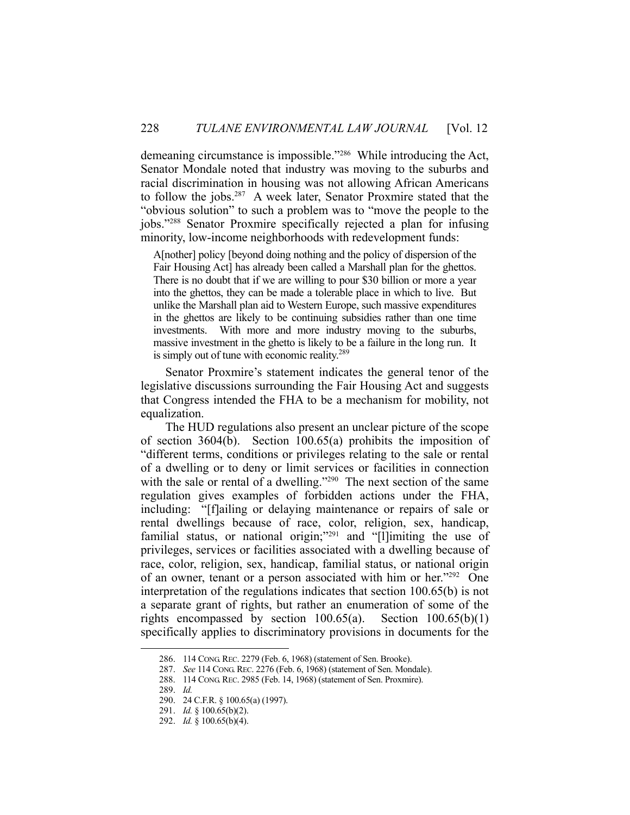demeaning circumstance is impossible."286 While introducing the Act, Senator Mondale noted that industry was moving to the suburbs and racial discrimination in housing was not allowing African Americans to follow the jobs.287 A week later, Senator Proxmire stated that the "obvious solution" to such a problem was to "move the people to the jobs."288 Senator Proxmire specifically rejected a plan for infusing minority, low-income neighborhoods with redevelopment funds:

A[nother] policy [beyond doing nothing and the policy of dispersion of the Fair Housing Act] has already been called a Marshall plan for the ghettos. There is no doubt that if we are willing to pour \$30 billion or more a year into the ghettos, they can be made a tolerable place in which to live. But unlike the Marshall plan aid to Western Europe, such massive expenditures in the ghettos are likely to be continuing subsidies rather than one time investments. With more and more industry moving to the suburbs, massive investment in the ghetto is likely to be a failure in the long run. It is simply out of tune with economic reality.<sup>289</sup>

 Senator Proxmire's statement indicates the general tenor of the legislative discussions surrounding the Fair Housing Act and suggests that Congress intended the FHA to be a mechanism for mobility, not equalization.

 The HUD regulations also present an unclear picture of the scope of section 3604(b). Section 100.65(a) prohibits the imposition of "different terms, conditions or privileges relating to the sale or rental of a dwelling or to deny or limit services or facilities in connection with the sale or rental of a dwelling."<sup>290</sup> The next section of the same regulation gives examples of forbidden actions under the FHA, including: "[f]ailing or delaying maintenance or repairs of sale or rental dwellings because of race, color, religion, sex, handicap, familial status, or national origin;"<sup>291</sup> and "[l]imiting the use of privileges, services or facilities associated with a dwelling because of race, color, religion, sex, handicap, familial status, or national origin of an owner, tenant or a person associated with him or her."292 One interpretation of the regulations indicates that section 100.65(b) is not a separate grant of rights, but rather an enumeration of some of the rights encompassed by section  $100.65(a)$ . Section  $100.65(b)(1)$ specifically applies to discriminatory provisions in documents for the

 <sup>286. 114</sup> CONG.REC. 2279 (Feb. 6, 1968) (statement of Sen. Brooke).

 <sup>287.</sup> *See* 114 CONG. REC. 2276 (Feb. 6, 1968) (statement of Sen. Mondale).

 <sup>288. 114</sup> CONG.REC. 2985 (Feb. 14, 1968) (statement of Sen. Proxmire).

 <sup>289.</sup> *Id.*

 <sup>290. 24</sup> C.F.R. § 100.65(a) (1997).

 <sup>291.</sup> *Id.* § 100.65(b)(2).

 <sup>292.</sup> *Id.* § 100.65(b)(4).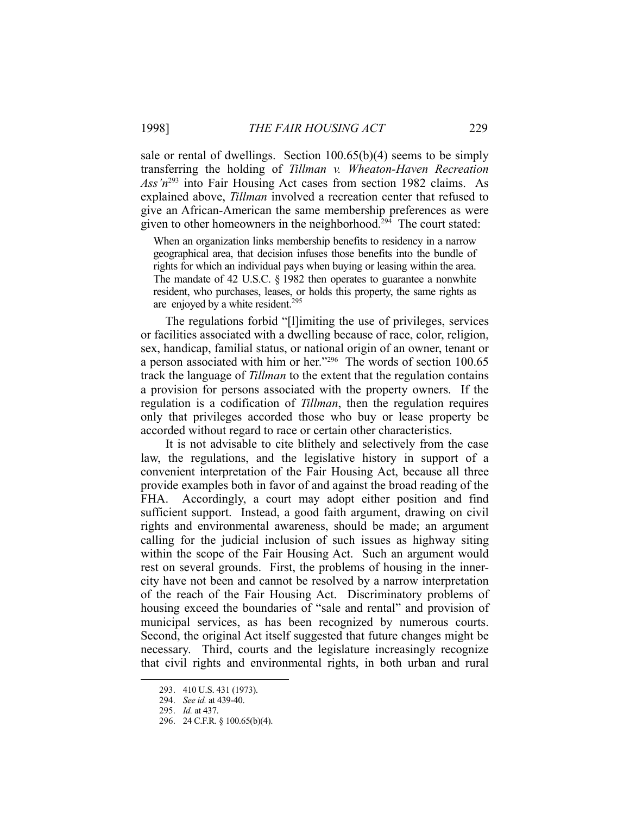sale or rental of dwellings. Section  $100.65(b)(4)$  seems to be simply transferring the holding of *Tillman v. Wheaton-Haven Recreation Ass'n*293 into Fair Housing Act cases from section 1982 claims. As explained above, *Tillman* involved a recreation center that refused to give an African-American the same membership preferences as were given to other homeowners in the neighborhood.<sup>294</sup> The court stated:

When an organization links membership benefits to residency in a narrow geographical area, that decision infuses those benefits into the bundle of rights for which an individual pays when buying or leasing within the area. The mandate of 42 U.S.C. § 1982 then operates to guarantee a nonwhite resident, who purchases, leases, or holds this property, the same rights as are enjoyed by a white resident.<sup>295</sup>

 The regulations forbid "[l]imiting the use of privileges, services or facilities associated with a dwelling because of race, color, religion, sex, handicap, familial status, or national origin of an owner, tenant or a person associated with him or her."296 The words of section 100.65 track the language of *Tillman* to the extent that the regulation contains a provision for persons associated with the property owners. If the regulation is a codification of *Tillman*, then the regulation requires only that privileges accorded those who buy or lease property be accorded without regard to race or certain other characteristics.

 It is not advisable to cite blithely and selectively from the case law, the regulations, and the legislative history in support of a convenient interpretation of the Fair Housing Act, because all three provide examples both in favor of and against the broad reading of the FHA. Accordingly, a court may adopt either position and find sufficient support. Instead, a good faith argument, drawing on civil rights and environmental awareness, should be made; an argument calling for the judicial inclusion of such issues as highway siting within the scope of the Fair Housing Act. Such an argument would rest on several grounds. First, the problems of housing in the innercity have not been and cannot be resolved by a narrow interpretation of the reach of the Fair Housing Act. Discriminatory problems of housing exceed the boundaries of "sale and rental" and provision of municipal services, as has been recognized by numerous courts. Second, the original Act itself suggested that future changes might be necessary. Third, courts and the legislature increasingly recognize that civil rights and environmental rights, in both urban and rural

 <sup>293. 410</sup> U.S. 431 (1973).

 <sup>294.</sup> *See id.* at 439-40.

 <sup>295.</sup> *Id.* at 437.

 <sup>296. 24</sup> C.F.R. § 100.65(b)(4).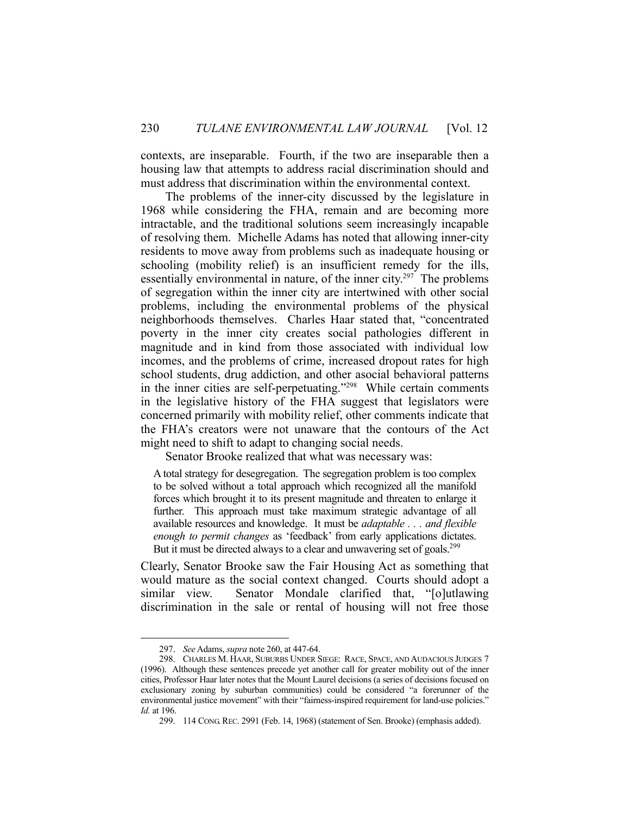contexts, are inseparable. Fourth, if the two are inseparable then a housing law that attempts to address racial discrimination should and must address that discrimination within the environmental context.

 The problems of the inner-city discussed by the legislature in 1968 while considering the FHA, remain and are becoming more intractable, and the traditional solutions seem increasingly incapable of resolving them. Michelle Adams has noted that allowing inner-city residents to move away from problems such as inadequate housing or schooling (mobility relief) is an insufficient remedy for the ills, essentially environmental in nature, of the inner city.<sup>297</sup> The problems of segregation within the inner city are intertwined with other social problems, including the environmental problems of the physical neighborhoods themselves. Charles Haar stated that, "concentrated poverty in the inner city creates social pathologies different in magnitude and in kind from those associated with individual low incomes, and the problems of crime, increased dropout rates for high school students, drug addiction, and other asocial behavioral patterns in the inner cities are self-perpetuating."<sup>298</sup> While certain comments in the legislative history of the FHA suggest that legislators were concerned primarily with mobility relief, other comments indicate that the FHA's creators were not unaware that the contours of the Act might need to shift to adapt to changing social needs.

Senator Brooke realized that what was necessary was:

A total strategy for desegregation. The segregation problem is too complex to be solved without a total approach which recognized all the manifold forces which brought it to its present magnitude and threaten to enlarge it further. This approach must take maximum strategic advantage of all available resources and knowledge. It must be *adaptable . . . and flexible enough to permit changes* as 'feedback' from early applications dictates. But it must be directed always to a clear and unwavering set of goals.<sup>299</sup>

Clearly, Senator Brooke saw the Fair Housing Act as something that would mature as the social context changed. Courts should adopt a similar view. Senator Mondale clarified that, "[o]utlawing discrimination in the sale or rental of housing will not free those

 <sup>297.</sup> *See* Adams, *supra* note 260, at 447-64.

 <sup>298.</sup> CHARLES M. HAAR, SUBURBS UNDER SIEGE: RACE, SPACE, AND AUDACIOUS JUDGES 7 (1996). Although these sentences precede yet another call for greater mobility out of the inner cities, Professor Haar later notes that the Mount Laurel decisions (a series of decisions focused on exclusionary zoning by suburban communities) could be considered "a forerunner of the environmental justice movement" with their "fairness-inspired requirement for land-use policies." *Id.* at 196.

 <sup>299. 114</sup> CONG.REC. 2991 (Feb. 14, 1968) (statement of Sen. Brooke) (emphasis added).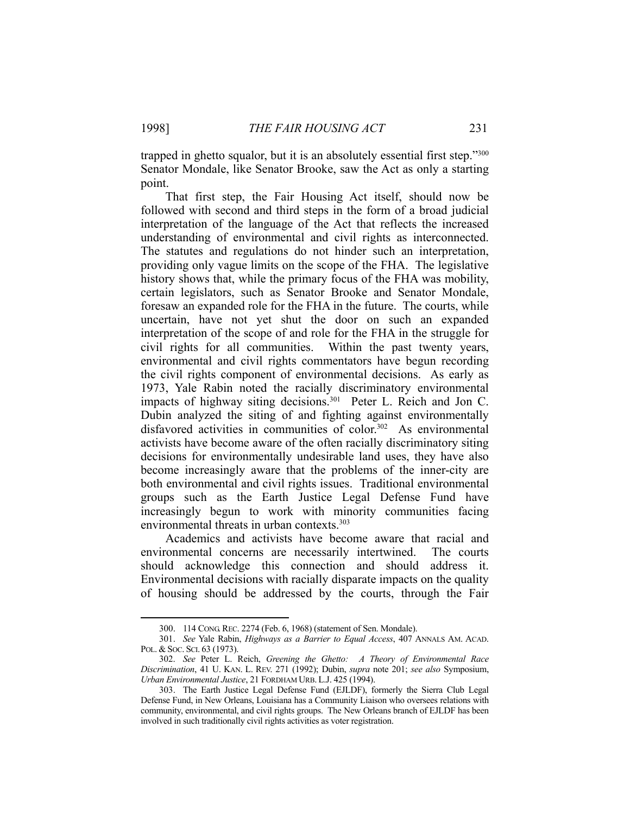trapped in ghetto squalor, but it is an absolutely essential first step."300 Senator Mondale, like Senator Brooke, saw the Act as only a starting point.

 That first step, the Fair Housing Act itself, should now be followed with second and third steps in the form of a broad judicial interpretation of the language of the Act that reflects the increased understanding of environmental and civil rights as interconnected. The statutes and regulations do not hinder such an interpretation, providing only vague limits on the scope of the FHA. The legislative history shows that, while the primary focus of the FHA was mobility, certain legislators, such as Senator Brooke and Senator Mondale, foresaw an expanded role for the FHA in the future. The courts, while uncertain, have not yet shut the door on such an expanded interpretation of the scope of and role for the FHA in the struggle for civil rights for all communities. Within the past twenty years, environmental and civil rights commentators have begun recording the civil rights component of environmental decisions. As early as 1973, Yale Rabin noted the racially discriminatory environmental impacts of highway siting decisions.<sup>301</sup> Peter L. Reich and Jon C. Dubin analyzed the siting of and fighting against environmentally disfavored activities in communities of color.<sup>302</sup> As environmental activists have become aware of the often racially discriminatory siting decisions for environmentally undesirable land uses, they have also become increasingly aware that the problems of the inner-city are both environmental and civil rights issues. Traditional environmental groups such as the Earth Justice Legal Defense Fund have increasingly begun to work with minority communities facing environmental threats in urban contexts.<sup>303</sup>

 Academics and activists have become aware that racial and environmental concerns are necessarily intertwined. The courts should acknowledge this connection and should address it. Environmental decisions with racially disparate impacts on the quality of housing should be addressed by the courts, through the Fair

 <sup>300. 114</sup> CONG.REC. 2274 (Feb. 6, 1968) (statement of Sen. Mondale).

 <sup>301.</sup> *See* Yale Rabin, *Highways as a Barrier to Equal Access*, 407 ANNALS AM. ACAD. POL. & SOC. SCI. 63 (1973).

 <sup>302.</sup> *See* Peter L. Reich, *Greening the Ghetto: A Theory of Environmental Race Discrimination*, 41 U. KAN. L. REV. 271 (1992); Dubin, *supra* note 201; *see also* Symposium, *Urban Environmental Justice*, 21 FORDHAM URB. L.J. 425 (1994).

 <sup>303.</sup> The Earth Justice Legal Defense Fund (EJLDF), formerly the Sierra Club Legal Defense Fund, in New Orleans, Louisiana has a Community Liaison who oversees relations with community, environmental, and civil rights groups. The New Orleans branch of EJLDF has been involved in such traditionally civil rights activities as voter registration.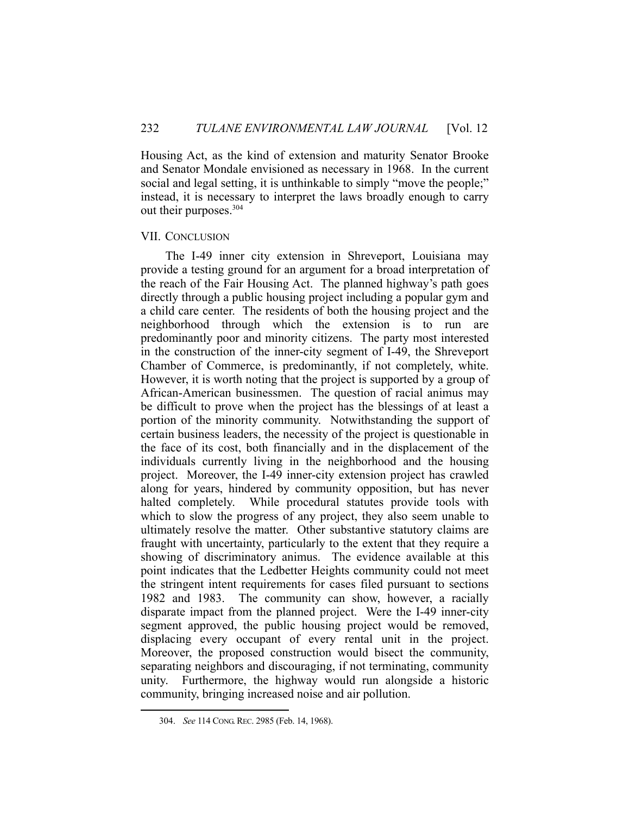Housing Act, as the kind of extension and maturity Senator Brooke and Senator Mondale envisioned as necessary in 1968. In the current social and legal setting, it is unthinkable to simply "move the people;" instead, it is necessary to interpret the laws broadly enough to carry out their purposes.304

## VII. CONCLUSION

 The I-49 inner city extension in Shreveport, Louisiana may provide a testing ground for an argument for a broad interpretation of the reach of the Fair Housing Act. The planned highway's path goes directly through a public housing project including a popular gym and a child care center. The residents of both the housing project and the neighborhood through which the extension is to run are predominantly poor and minority citizens. The party most interested in the construction of the inner-city segment of I-49, the Shreveport Chamber of Commerce, is predominantly, if not completely, white. However, it is worth noting that the project is supported by a group of African-American businessmen. The question of racial animus may be difficult to prove when the project has the blessings of at least a portion of the minority community. Notwithstanding the support of certain business leaders, the necessity of the project is questionable in the face of its cost, both financially and in the displacement of the individuals currently living in the neighborhood and the housing project. Moreover, the I-49 inner-city extension project has crawled along for years, hindered by community opposition, but has never halted completely. While procedural statutes provide tools with which to slow the progress of any project, they also seem unable to ultimately resolve the matter. Other substantive statutory claims are fraught with uncertainty, particularly to the extent that they require a showing of discriminatory animus. The evidence available at this point indicates that the Ledbetter Heights community could not meet the stringent intent requirements for cases filed pursuant to sections 1982 and 1983. The community can show, however, a racially disparate impact from the planned project. Were the I-49 inner-city segment approved, the public housing project would be removed, displacing every occupant of every rental unit in the project. Moreover, the proposed construction would bisect the community, separating neighbors and discouraging, if not terminating, community unity. Furthermore, the highway would run alongside a historic community, bringing increased noise and air pollution.

 <sup>304.</sup> *See* 114 CONG. REC. 2985 (Feb. 14, 1968).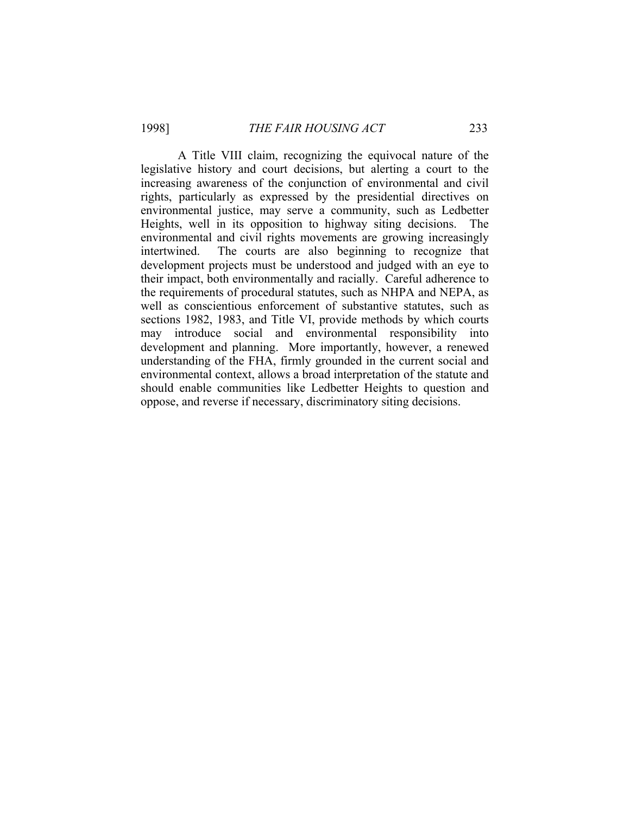A Title VIII claim, recognizing the equivocal nature of the legislative history and court decisions, but alerting a court to the increasing awareness of the conjunction of environmental and civil rights, particularly as expressed by the presidential directives on environmental justice, may serve a community, such as Ledbetter Heights, well in its opposition to highway siting decisions. The environmental and civil rights movements are growing increasingly intertwined. The courts are also beginning to recognize that development projects must be understood and judged with an eye to their impact, both environmentally and racially. Careful adherence to the requirements of procedural statutes, such as NHPA and NEPA, as well as conscientious enforcement of substantive statutes, such as sections 1982, 1983, and Title VI, provide methods by which courts may introduce social and environmental responsibility into development and planning. More importantly, however, a renewed understanding of the FHA, firmly grounded in the current social and environmental context, allows a broad interpretation of the statute and should enable communities like Ledbetter Heights to question and oppose, and reverse if necessary, discriminatory siting decisions.